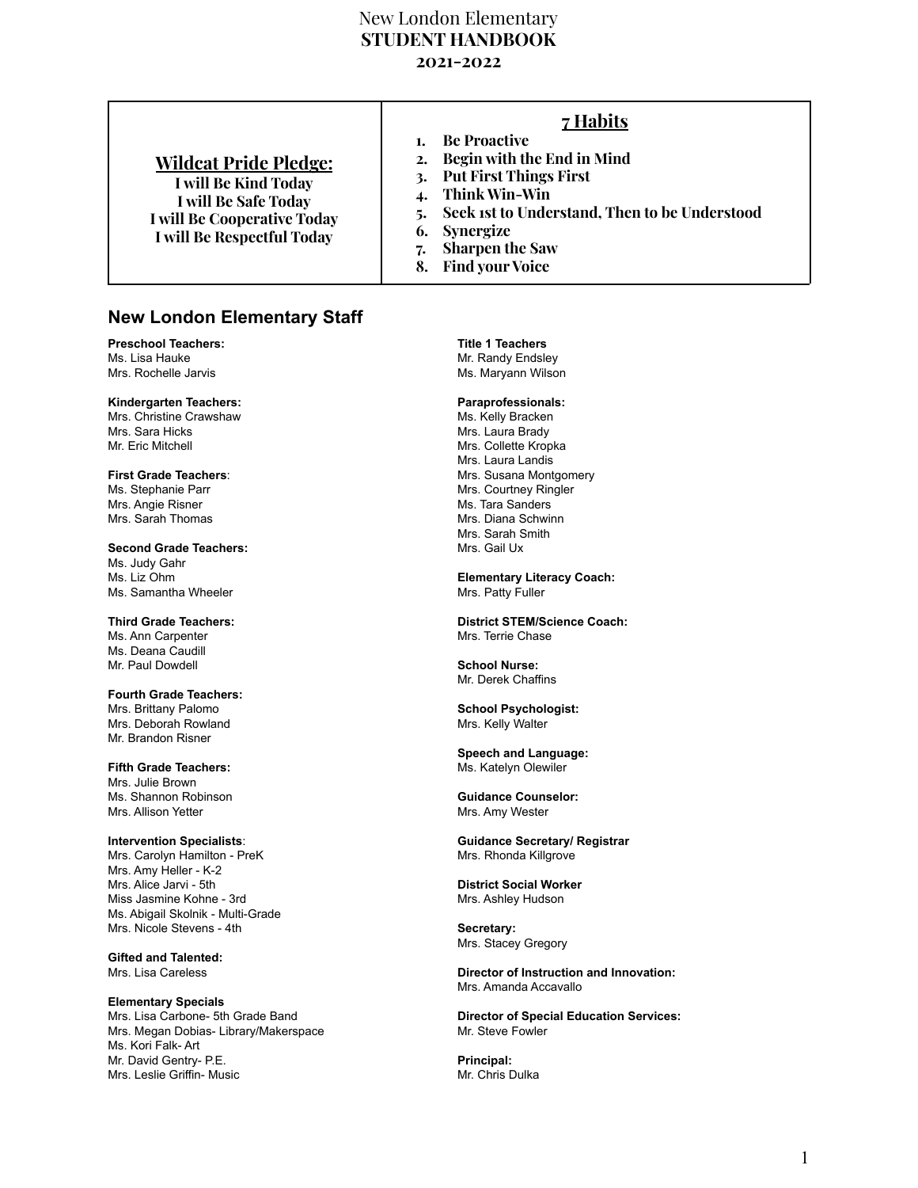# New London Elementary **STUDENT HANDBOOK 2021-2022**

| Think Win-Win<br><b>I</b> will Be Safe Today<br>5. Seek ist to Understand, Then to be Understood<br><b>I</b> will Be Cooperative Today<br>6. Synergize<br><b>I will Be Respectful Today</b><br><b>Sharpen the Saw</b><br>7. | <b>Wildcat Pride Pledge:</b> | 7 Habits<br><b>Be Proactive</b><br>2. Begin with the End in Mind<br><b>Put First Things First</b> |
|-----------------------------------------------------------------------------------------------------------------------------------------------------------------------------------------------------------------------------|------------------------------|---------------------------------------------------------------------------------------------------|
| <b>Find your Voice</b><br>8.                                                                                                                                                                                                | <b>I will Be Kind Today</b>  |                                                                                                   |

# **New London Elementary Staff**

**Preschool Teachers:** Ms. Lisa Hauke Mrs. Rochelle Jarvis

**Kindergarten Teachers:** Mrs. Christine Crawshaw Mrs. Sara Hicks Mr. Eric Mitchell

**First Grade Teachers**: Ms. Stephanie Parr Mrs. Angie Risner Mrs. Sarah Thomas

**Second Grade Teachers:** Ms. Judy Gahr Ms. Liz Ohm Ms. Samantha Wheeler

**Third Grade Teachers:** Ms. Ann Carpenter Ms. Deana Caudill Mr. Paul Dowdell

**Fourth Grade Teachers:** Mrs. Brittany Palomo Mrs. Deborah Rowland Mr. Brandon Risner

**Fifth Grade Teachers:** Mrs. Julie Brown Ms. Shannon Robinson Mrs. Allison Yetter

**Intervention Specialists**: Mrs. Carolyn Hamilton - PreK Mrs. Amy Heller - K-2 Mrs. Alice Jarvi - 5th Miss Jasmine Kohne - 3rd Ms. Abigail Skolnik - Multi-Grade Mrs. Nicole Stevens - 4th

**Gifted and Talented:** Mrs. Lisa Careless

**Elementary Specials** Mrs. Lisa Carbone- 5th Grade Band Mrs. Megan Dobias- Library/Makerspace Ms. Kori Falk- Art Mr. David Gentry- P.E. Mrs. Leslie Griffin- Music

**Title 1 Teachers** Mr. Randy Endsley Ms. Maryann Wilson

# **Paraprofessionals:**

Ms. Kelly Bracken Mrs. Laura Brady Mrs. Collette Kropka Mrs. Laura Landis Mrs. Susana Montgomery Mrs. Courtney Ringler Ms. Tara Sanders Mrs. Diana Schwinn Mrs. Sarah Smith Mrs. Gail Ux

**Elementary Literacy Coach:** Mrs. Patty Fuller

**District STEM/Science Coach:** Mrs. Terrie Chase

**School Nurse:** Mr. Derek Chaffins

**School Psychologist:** Mrs. Kelly Walter

**Speech and Language:** Ms. Katelyn Olewiler

**Guidance Counselor:** Mrs. Amy Wester

**Guidance Secretary/ Registrar** Mrs. Rhonda Killgrove

**District Social Worker** Mrs. Ashley Hudson

**Secretary:** Mrs. Stacey Gregory

**Director of Instruction and Innovation:** Mrs. Amanda Accavallo

**Director of Special Education Services:** Mr. Steve Fowler

**Principal:** Mr. Chris Dulka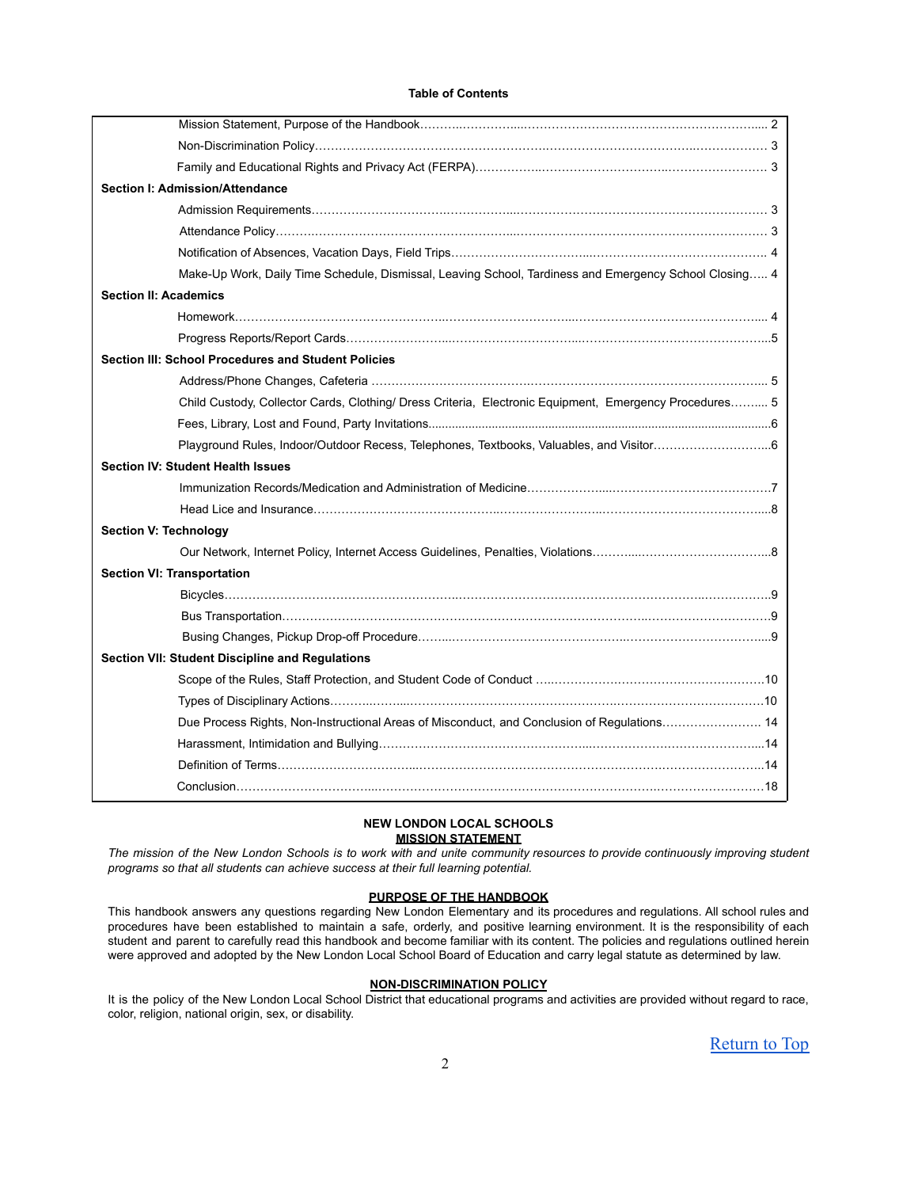#### **Table of Contents**

| Section I: Admission/Attendance                                                                        |  |
|--------------------------------------------------------------------------------------------------------|--|
|                                                                                                        |  |
|                                                                                                        |  |
|                                                                                                        |  |
| Make-Up Work, Daily Time Schedule, Dismissal, Leaving School, Tardiness and Emergency School Closing 4 |  |
| <b>Section II: Academics</b>                                                                           |  |
|                                                                                                        |  |
|                                                                                                        |  |
| Section III: School Procedures and Student Policies                                                    |  |
|                                                                                                        |  |
| Child Custody, Collector Cards, Clothing/ Dress Criteria, Electronic Equipment, Emergency Procedures 5 |  |
|                                                                                                        |  |
| Playground Rules, Indoor/Outdoor Recess, Telephones, Textbooks, Valuables, and Visitor6                |  |
| <b>Section IV: Student Health Issues</b>                                                               |  |
|                                                                                                        |  |
|                                                                                                        |  |
| <b>Section V: Technology</b>                                                                           |  |
|                                                                                                        |  |
| <b>Section VI: Transportation</b>                                                                      |  |
|                                                                                                        |  |
|                                                                                                        |  |
|                                                                                                        |  |
| Section VII: Student Discipline and Regulations                                                        |  |
|                                                                                                        |  |
|                                                                                                        |  |
| Due Process Rights, Non-Instructional Areas of Misconduct, and Conclusion of Regulations 14            |  |
|                                                                                                        |  |
|                                                                                                        |  |
|                                                                                                        |  |

# **NEW LONDON LOCAL SCHOOLS MISSION STATEMENT**

The mission of the New London Schools is to work with and unite community resources to provide continuously improving student *programs so that all students can achieve success at their full learning potential.*

# **PURPOSE OF THE HANDBOOK**

This handbook answers any questions regarding New London Elementary and its procedures and regulations. All school rules and procedures have been established to maintain a safe, orderly, and positive learning environment. It is the responsibility of each student and parent to carefully read this handbook and become familiar with its content. The policies and regulations outlined herein were approved and adopted by the New London Local School Board of Education and carry legal statute as determined by law.

# **NON-DISCRIMINATION POLICY**

It is the policy of the New London Local School District that educational programs and activities are provided without regard to race, color, religion, national origin, sex, or disability.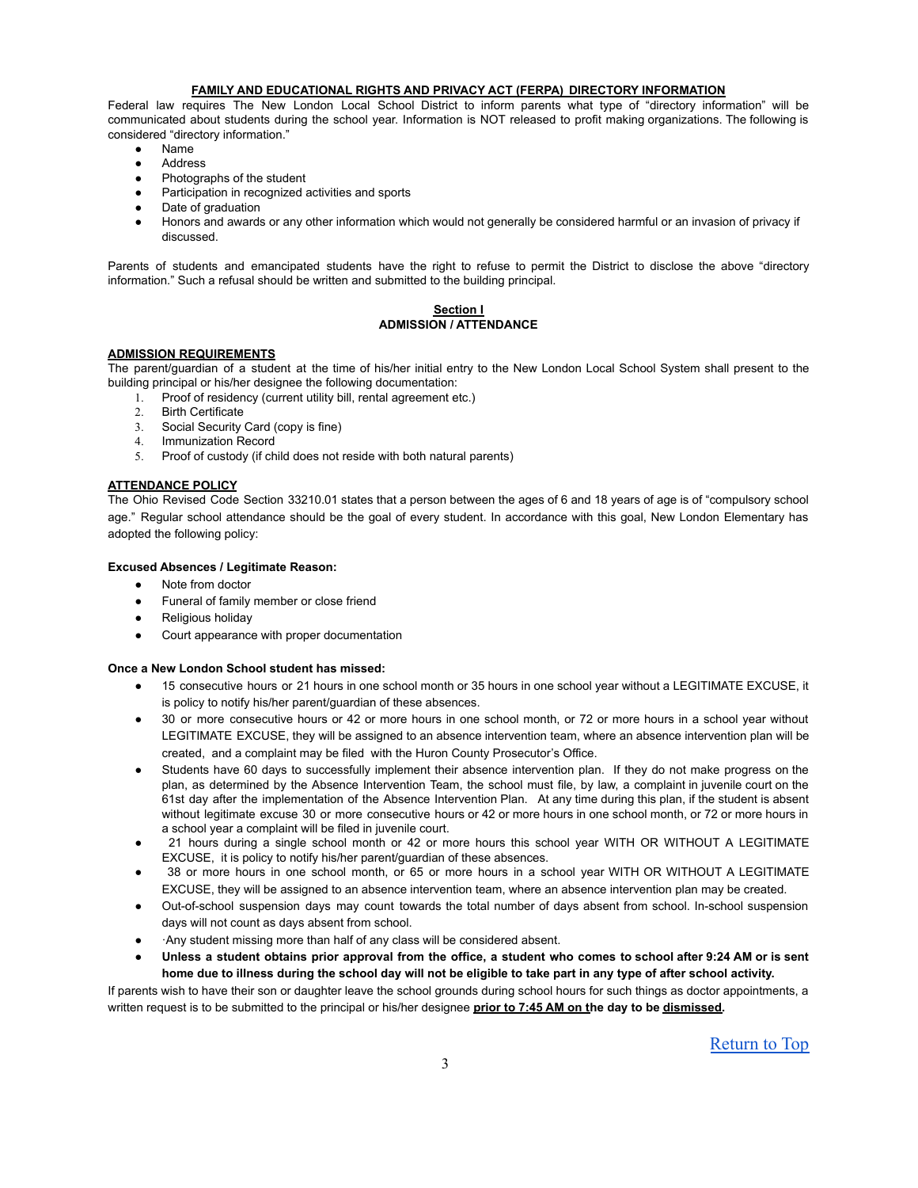# **FAMILY AND EDUCATIONAL RIGHTS AND PRIVACY ACT (FERPA) DIRECTORY INFORMATION**

Federal law requires The New London Local School District to inform parents what type of "directory information" will be communicated about students during the school year. Information is NOT released to profit making organizations. The following is considered "directory information."

- Name
- **Address**
- Photographs of the student
- Participation in recognized activities and sports
- Date of graduation
- Honors and awards or any other information which would not generally be considered harmful or an invasion of privacy if discussed.

Parents of students and emancipated students have the right to refuse to permit the District to disclose the above "directory information." Such a refusal should be written and submitted to the building principal.

# **Section I ADMISSION / ATTENDANCE**

# **ADMISSION REQUIREMENTS**

The parent/guardian of a student at the time of his/her initial entry to the New London Local School System shall present to the building principal or his/her designee the following documentation:

- 1. Proof of residency (current utility bill, rental agreement etc.)
- 2. Birth Certificate
- 3. Social Security Card (copy is fine)
- 4. Immunization Record
- 5. Proof of custody (if child does not reside with both natural parents)

# **ATTENDANCE POLICY**

The Ohio Revised Code Section 33210.01 states that a person between the ages of 6 and 18 years of age is of "compulsory school age." Regular school attendance should be the goal of every student. In accordance with this goal, New London Elementary has adopted the following policy:

# **Excused Absences / Legitimate Reason:**

- Note from doctor
- Funeral of family member or close friend
- Religious holiday
- Court appearance with proper documentation

# **Once a New London School student has missed:**

- 15 consecutive hours or 21 hours in one school month or 35 hours in one school year without a LEGITIMATE EXCUSE, it is policy to notify his/her parent/guardian of these absences.
- 30 or more consecutive hours or 42 or more hours in one school month, or 72 or more hours in a school year without LEGITIMATE EXCUSE, they will be assigned to an absence intervention team, where an absence intervention plan will be created, and a complaint may be filed with the Huron County Prosecutor's Office.
- Students have 60 days to successfully implement their absence intervention plan. If they do not make progress on the plan, as determined by the Absence Intervention Team, the school must file, by law, a complaint in juvenile court on the 61st day after the implementation of the Absence Intervention Plan. At any time during this plan, if the student is absent without legitimate excuse 30 or more consecutive hours or 42 or more hours in one school month, or 72 or more hours in a school year a complaint will be filed in juvenile court.
- 21 hours during a single school month or 42 or more hours this school year WITH OR WITHOUT A LEGITIMATE EXCUSE, it is policy to notify his/her parent/guardian of these absences.
- 38 or more hours in one school month, or 65 or more hours in a school year WITH OR WITHOUT A LEGITIMATE EXCUSE, they will be assigned to an absence intervention team, where an absence intervention plan may be created.
- Out-of-school suspension days may count towards the total number of days absent from school. In-school suspension days will not count as days absent from school.
- ·Any student missing more than half of any class will be considered absent.
- Unless a student obtains prior approval from the office, a student who comes to school after 9:24 AM or is sent home due to illness during the school day will not be eligible to take part in any type of after school activity.

If parents wish to have their son or daughter leave the school grounds during school hours for such things as doctor appointments, a written request is to be submitted to the principal or his/her designee **prior to 7:45 AM on the day to be dismissed.**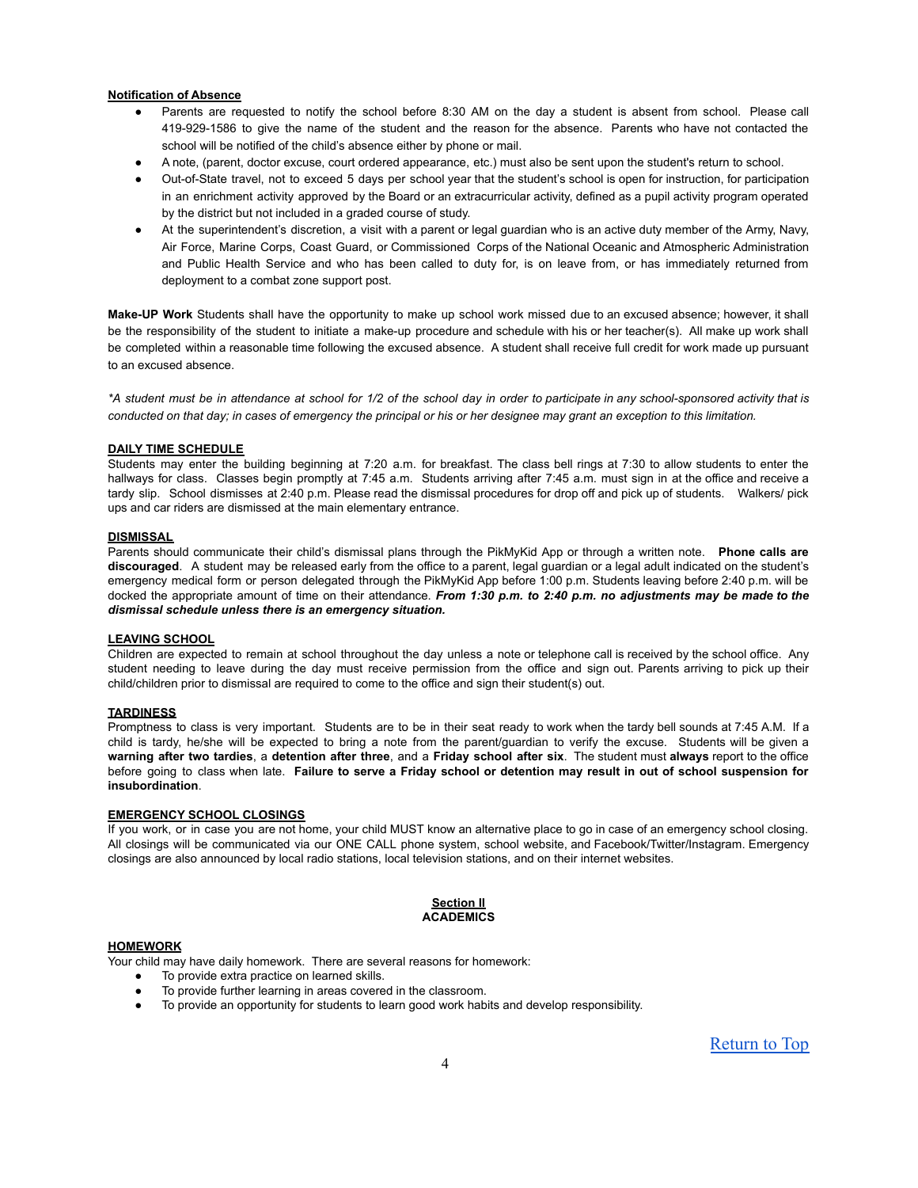#### **Notification of Absence**

- Parents are requested to notify the school before 8:30 AM on the day a student is absent from school. Please call 419-929-1586 to give the name of the student and the reason for the absence. Parents who have not contacted the school will be notified of the child's absence either by phone or mail.
- A note, (parent, doctor excuse, court ordered appearance, etc.) must also be sent upon the student's return to school.
- Out-of-State travel, not to exceed 5 days per school year that the student's school is open for instruction, for participation in an enrichment activity approved by the Board or an extracurricular activity, defined as a pupil activity program operated by the district but not included in a graded course of study.
- At the superintendent's discretion, a visit with a parent or legal guardian who is an active duty member of the Army, Navy, Air Force, Marine Corps, Coast Guard, or Commissioned Corps of the National Oceanic and Atmospheric Administration and Public Health Service and who has been called to duty for, is on leave from, or has immediately returned from deployment to a combat zone support post.

**Make-UP Work** Students shall have the opportunity to make up school work missed due to an excused absence; however, it shall be the responsibility of the student to initiate a make-up procedure and schedule with his or her teacher(s). All make up work shall be completed within a reasonable time following the excused absence. A student shall receive full credit for work made up pursuant to an excused absence.

\*A student must be in attendance at school for 1/2 of the school day in order to participate in any school-sponsored activity that is conducted on that day; in cases of emergency the principal or his or her designee may grant an exception to this limitation.

### **DAILY TIME SCHEDULE**

Students may enter the building beginning at 7:20 a.m. for breakfast. The class bell rings at 7:30 to allow students to enter the hallways for class. Classes begin promptly at 7:45 a.m. Students arriving after 7:45 a.m. must sign in at the office and receive a tardy slip. School dismisses at 2:40 p.m. Please read the dismissal procedures for drop off and pick up of students. Walkers/ pick ups and car riders are dismissed at the main elementary entrance.

### **DISMISSAL**

Parents should communicate their child's dismissal plans through the PikMyKid App or through a written note. **Phone calls are discouraged**. A student may be released early from the office to a parent, legal guardian or a legal adult indicated on the student's emergency medical form or person delegated through the PikMyKid App before 1:00 p.m. Students leaving before 2:40 p.m. will be docked the appropriate amount of time on their attendance. *From 1:30 p.m. to 2:40 p.m. no adjustments may be made to the dismissal schedule unless there is an emergency situation.*

#### **LEAVING SCHOOL**

Children are expected to remain at school throughout the day unless a note or telephone call is received by the school office. Any student needing to leave during the day must receive permission from the office and sign out. Parents arriving to pick up their child/children prior to dismissal are required to come to the office and sign their student(s) out.

#### **TARDINESS**

Promptness to class is very important. Students are to be in their seat ready to work when the tardy bell sounds at 7:45 A.M. If a child is tardy, he/she will be expected to bring a note from the parent/guardian to verify the excuse. Students will be given a **warning after two tardies**, a **detention after three**, and a **Friday school after six**. The student must **always** report to the office before going to class when late. Failure to serve a Friday school or detention may result in out of school suspension for **insubordination**.

# **EMERGENCY SCHOOL CLOSINGS**

If you work, or in case you are not home, your child MUST know an alternative place to go in case of an emergency school closing. All closings will be communicated via our ONE CALL phone system, school website, and Facebook/Twitter/Instagram. Emergency closings are also announced by local radio stations, local television stations, and on their internet websites.

### **Section II ACADEMICS**

# **HOMEWORK**

Your child may have daily homework. There are several reasons for homework:

- To provide extra practice on learned skills.
- To provide further learning in areas covered in the classroom.
- To provide an opportunity for students to learn good work habits and develop responsibility.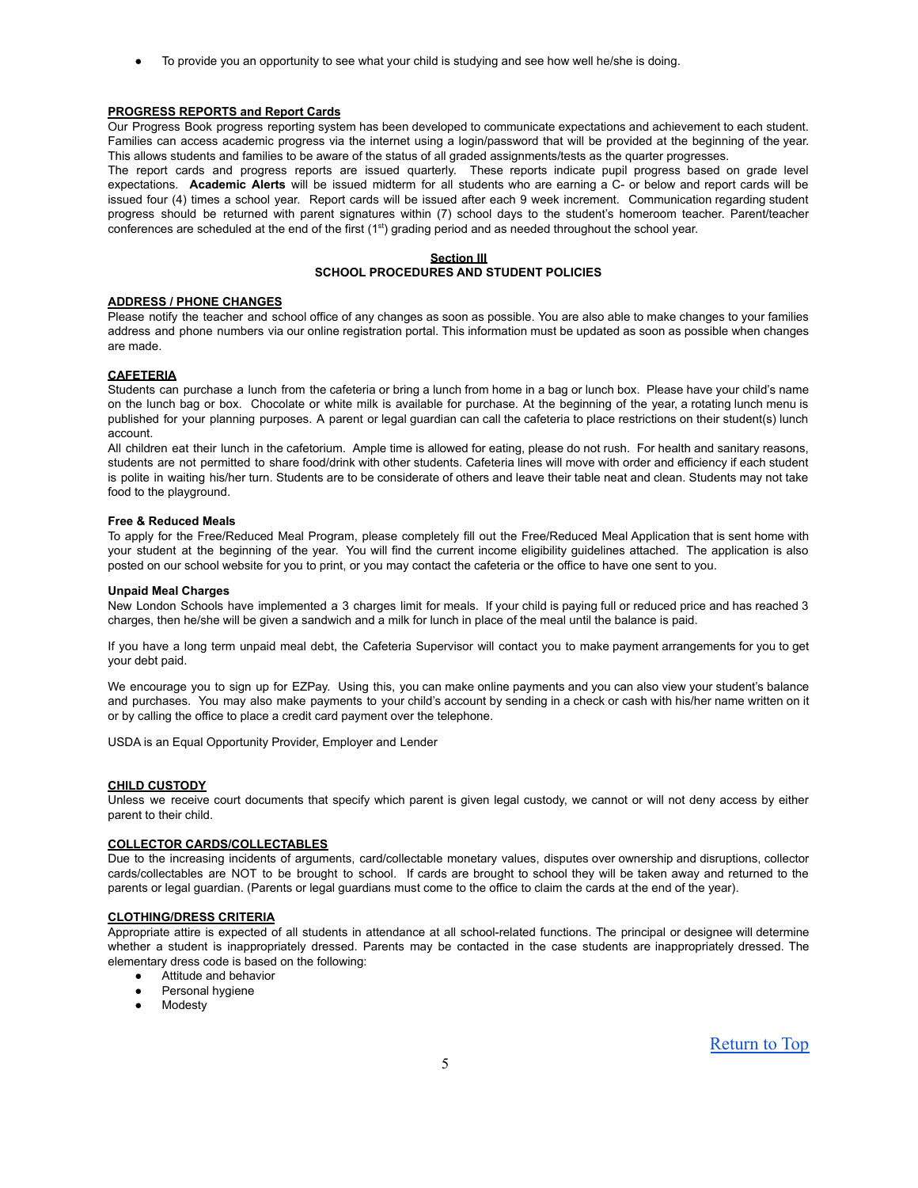• To provide you an opportunity to see what your child is studying and see how well he/she is doing.

### **PROGRESS REPORTS and Report Cards**

Our Progress Book progress reporting system has been developed to communicate expectations and achievement to each student. Families can access academic progress via the internet using a login/password that will be provided at the beginning of the year. This allows students and families to be aware of the status of all graded assignments/tests as the quarter progresses.

The report cards and progress reports are issued quarterly. These reports indicate pupil progress based on grade level expectations. **Academic Alerts** will be issued midterm for all students who are earning a C- or below and report cards will be issued four (4) times a school year. Report cards will be issued after each 9 week increment. Communication regarding student progress should be returned with parent signatures within (7) school days to the student's homeroom teacher. Parent/teacher conferences are scheduled at the end of the first (1<sup>st</sup>) grading period and as needed throughout the school year.

#### **Section III SCHOOL PROCEDURES AND STUDENT POLICIES**

# **ADDRESS / PHONE CHANGES**

Please notify the teacher and school office of any changes as soon as possible. You are also able to make changes to your families address and phone numbers via our online registration portal. This information must be updated as soon as possible when changes are made.

## **CAFETERIA**

Students can purchase a lunch from the cafeteria or bring a lunch from home in a bag or lunch box. Please have your child's name on the lunch bag or box. Chocolate or white milk is available for purchase. At the beginning of the year, a rotating lunch menu is published for your planning purposes. A parent or legal guardian can call the cafeteria to place restrictions on their student(s) lunch account.

All children eat their lunch in the cafetorium. Ample time is allowed for eating, please do not rush. For health and sanitary reasons, students are not permitted to share food/drink with other students. Cafeteria lines will move with order and efficiency if each student is polite in waiting his/her turn. Students are to be considerate of others and leave their table neat and clean. Students may not take food to the playground.

#### **Free & Reduced Meals**

To apply for the Free/Reduced Meal Program, please completely fill out the Free/Reduced Meal Application that is sent home with your student at the beginning of the year. You will find the current income eligibility guidelines attached. The application is also posted on our school website for you to print, or you may contact the cafeteria or the office to have one sent to you.

#### **Unpaid Meal Charges**

New London Schools have implemented a 3 charges limit for meals. If your child is paying full or reduced price and has reached 3 charges, then he/she will be given a sandwich and a milk for lunch in place of the meal until the balance is paid.

If you have a long term unpaid meal debt, the Cafeteria Supervisor will contact you to make payment arrangements for you to get your debt paid.

We encourage you to sign up for EZPay. Using this, you can make online payments and you can also view your student's balance and purchases. You may also make payments to your child's account by sending in a check or cash with his/her name written on it or by calling the office to place a credit card payment over the telephone.

USDA is an Equal Opportunity Provider, Employer and Lender

# **CHILD CUSTODY**

Unless we receive court documents that specify which parent is given legal custody, we cannot or will not deny access by either parent to their child.

# **COLLECTOR CARDS/COLLECTABLES**

Due to the increasing incidents of arguments, card/collectable monetary values, disputes over ownership and disruptions, collector cards/collectables are NOT to be brought to school. If cards are brought to school they will be taken away and returned to the parents or legal guardian. (Parents or legal guardians must come to the office to claim the cards at the end of the year).

### **CLOTHING/DRESS CRITERIA**

Appropriate attire is expected of all students in attendance at all school-related functions. The principal or designee will determine whether a student is inappropriately dressed. Parents may be contacted in the case students are inappropriately dressed. The elementary dress code is based on the following:

- Attitude and behavior
- Personal hygiene
- **Modesty**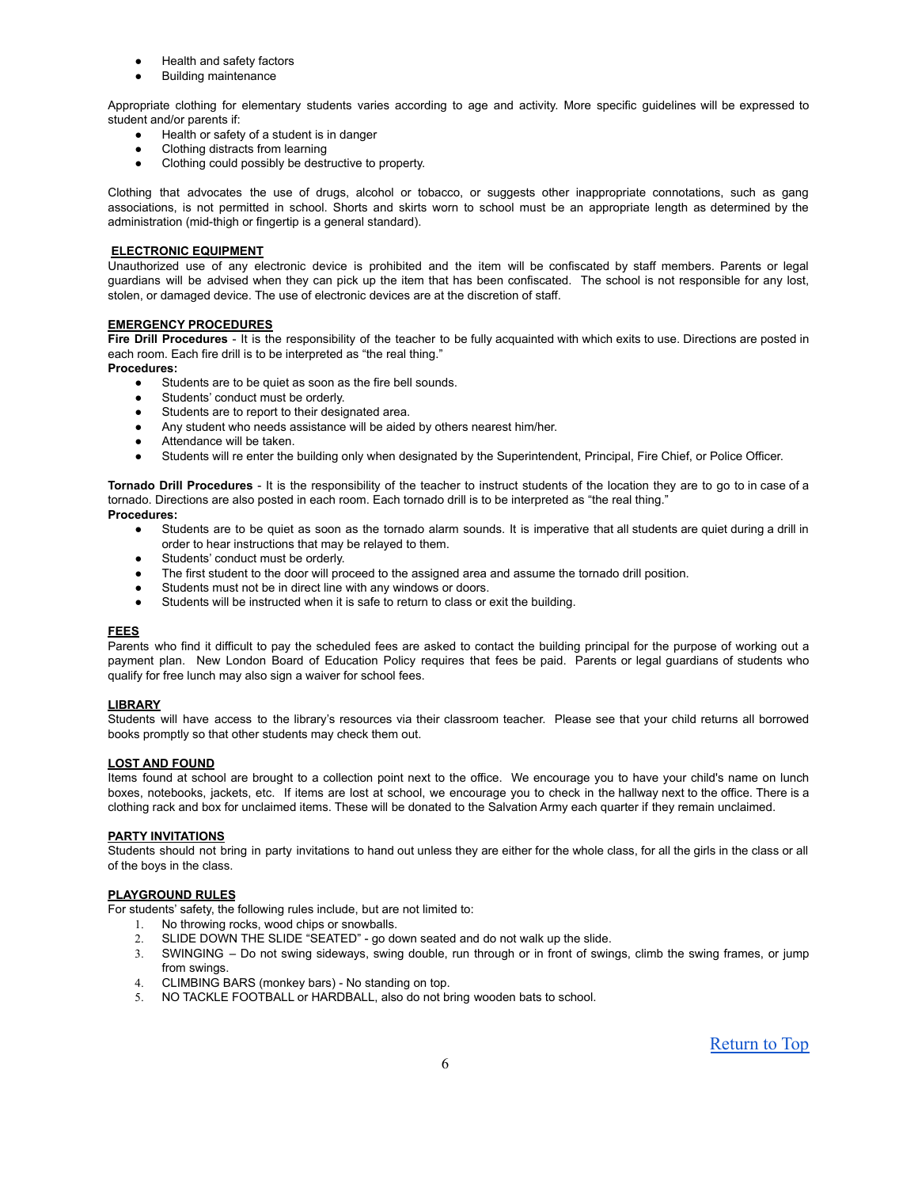- Health and safety factors
- **Building maintenance**

Appropriate clothing for elementary students varies according to age and activity. More specific guidelines will be expressed to student and/or parents if:

- Health or safety of a student is in danger
- Clothing distracts from learning
- Clothing could possibly be destructive to property.

Clothing that advocates the use of drugs, alcohol or tobacco, or suggests other inappropriate connotations, such as gang associations, is not permitted in school. Shorts and skirts worn to school must be an appropriate length as determined by the administration (mid-thigh or fingertip is a general standard).

# **ELECTRONIC EQUIPMENT**

Unauthorized use of any electronic device is prohibited and the item will be confiscated by staff members. Parents or legal guardians will be advised when they can pick up the item that has been confiscated. The school is not responsible for any lost, stolen, or damaged device. The use of electronic devices are at the discretion of staff.

### **EMERGENCY PROCEDURES**

**Fire Drill Procedures** - It is the responsibility of the teacher to be fully acquainted with which exits to use. Directions are posted in each room. Each fire drill is to be interpreted as "the real thing."

**Procedures:**

- Students are to be quiet as soon as the fire bell sounds.
- Students' conduct must be orderly.
- Students are to report to their designated area.
- Any student who needs assistance will be aided by others nearest him/her.
- Attendance will be taken.
- Students will re enter the building only when designated by the Superintendent, Principal, Fire Chief, or Police Officer.

**Tornado Drill Procedures** - It is the responsibility of the teacher to instruct students of the location they are to go to in case of a tornado. Directions are also posted in each room. Each tornado drill is to be interpreted as "the real thing." **Procedures:**

- Students are to be quiet as soon as the tornado alarm sounds. It is imperative that all students are quiet during a drill in order to hear instructions that may be relayed to them.
- Students' conduct must be orderly.
- The first student to the door will proceed to the assigned area and assume the tornado drill position.
- Students must not be in direct line with any windows or doors.
- Students will be instructed when it is safe to return to class or exit the building.

# **FEES**

Parents who find it difficult to pay the scheduled fees are asked to contact the building principal for the purpose of working out a payment plan. New London Board of Education Policy requires that fees be paid. Parents or legal guardians of students who qualify for free lunch may also sign a waiver for school fees.

# **LIBRARY**

Students will have access to the library's resources via their classroom teacher. Please see that your child returns all borrowed books promptly so that other students may check them out.

# **LOST AND FOUND**

Items found at school are brought to a collection point next to the office. We encourage you to have your child's name on lunch boxes, notebooks, jackets, etc. If items are lost at school, we encourage you to check in the hallway next to the office. There is a clothing rack and box for unclaimed items. These will be donated to the Salvation Army each quarter if they remain unclaimed.

#### **PARTY INVITATIONS**

Students should not bring in party invitations to hand out unless they are either for the whole class, for all the girls in the class or all of the boys in the class.

# **PLAYGROUND RULES**

For students' safety, the following rules include, but are not limited to:

- 1. No throwing rocks, wood chips or snowballs.
- 2. SLIDE DOWN THE SLIDE "SEATED" go down seated and do not walk up the slide.
- 3. SWINGING Do not swing sideways, swing double, run through or in front of swings, climb the swing frames, or jump from swings.
- 4. CLIMBING BARS (monkey bars) No standing on top.
- 5. NO TACKLE FOOTBALL or HARDBALL, also do not bring wooden bats to school.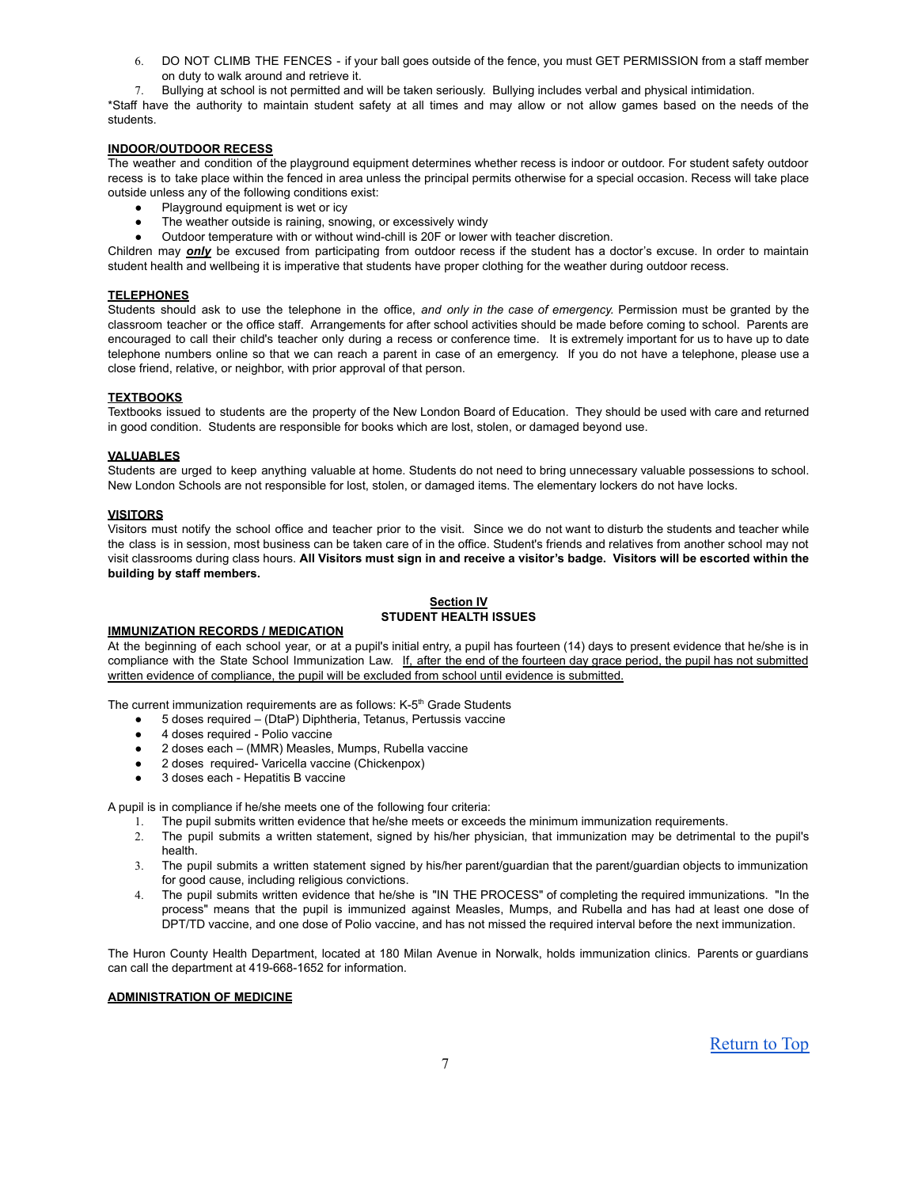- 6. DO NOT CLIMB THE FENCES if your ball goes outside of the fence, you must GET PERMISSION from a staff member on duty to walk around and retrieve it.
- 7. Bullying at school is not permitted and will be taken seriously. Bullying includes verbal and physical intimidation.

\*Staff have the authority to maintain student safety at all times and may allow or not allow games based on the needs of the students.

# **INDOOR/OUTDOOR RECESS**

The weather and condition of the playground equipment determines whether recess is indoor or outdoor. For student safety outdoor recess is to take place within the fenced in area unless the principal permits otherwise for a special occasion. Recess will take place outside unless any of the following conditions exist:

- Playground equipment is wet or icy
- The weather outside is raining, snowing, or excessively windy
- Outdoor temperature with or without wind-chill is 20F or lower with teacher discretion.

Children may *only* be excused from participating from outdoor recess if the student has a doctor's excuse. In order to maintain student health and wellbeing it is imperative that students have proper clothing for the weather during outdoor recess.

#### **TELEPHONES**

Students should ask to use the telephone in the office, *and only in the case of emergency.* Permission must be granted by the classroom teacher or the office staff. Arrangements for after school activities should be made before coming to school. Parents are encouraged to call their child's teacher only during a recess or conference time. It is extremely important for us to have up to date telephone numbers online so that we can reach a parent in case of an emergency. If you do not have a telephone, please use a close friend, relative, or neighbor, with prior approval of that person.

# **TEXTBOOKS**

Textbooks issued to students are the property of the New London Board of Education. They should be used with care and returned in good condition. Students are responsible for books which are lost, stolen, or damaged beyond use.

### **VALUABLES**

Students are urged to keep anything valuable at home. Students do not need to bring unnecessary valuable possessions to school. New London Schools are not responsible for lost, stolen, or damaged items. The elementary lockers do not have locks.

#### **VISITORS**

Visitors must notify the school office and teacher prior to the visit. Since we do not want to disturb the students and teacher while the class is in session, most business can be taken care of in the office. Student's friends and relatives from another school may not visit classrooms during class hours. All Visitors must sign in and receive a visitor's badge. Visitors will be escorted within the **building by staff members.**

# **Section IV STUDENT HEALTH ISSUES**

# **IMMUNIZATION RECORDS / MEDICATION**

At the beginning of each school year, or at a pupil's initial entry, a pupil has fourteen (14) days to present evidence that he/she is in compliance with the State School Immunization Law. If, after the end of the fourteen day grace period, the pupil has not submitted written evidence of compliance, the pupil will be excluded from school until evidence is submitted.

The current immunization requirements are as follows: K-5<sup>th</sup> Grade Students

- 5 doses required (DtaP) Diphtheria, Tetanus, Pertussis vaccine
- 4 doses required Polio vaccine
- 2 doses each (MMR) Measles, Mumps, Rubella vaccine
- 2 doses required- Varicella vaccine (Chickenpox)
- 3 doses each Hepatitis B vaccine

A pupil is in compliance if he/she meets one of the following four criteria:

- 1. The pupil submits written evidence that he/she meets or exceeds the minimum immunization requirements.
- 2. The pupil submits a written statement, signed by his/her physician, that immunization may be detrimental to the pupil's health.
- 3. The pupil submits a written statement signed by his/her parent/guardian that the parent/guardian objects to immunization for good cause, including religious convictions.
- The pupil submits written evidence that he/she is "IN THE PROCESS" of completing the required immunizations. "In the process" means that the pupil is immunized against Measles, Mumps, and Rubella and has had at least one dose of DPT/TD vaccine, and one dose of Polio vaccine, and has not missed the required interval before the next immunization.

The Huron County Health Department, located at 180 Milan Avenue in Norwalk, holds immunization clinics. Parents or guardians can call the department at 419-668-1652 for information.

# **ADMINISTRATION OF MEDICINE**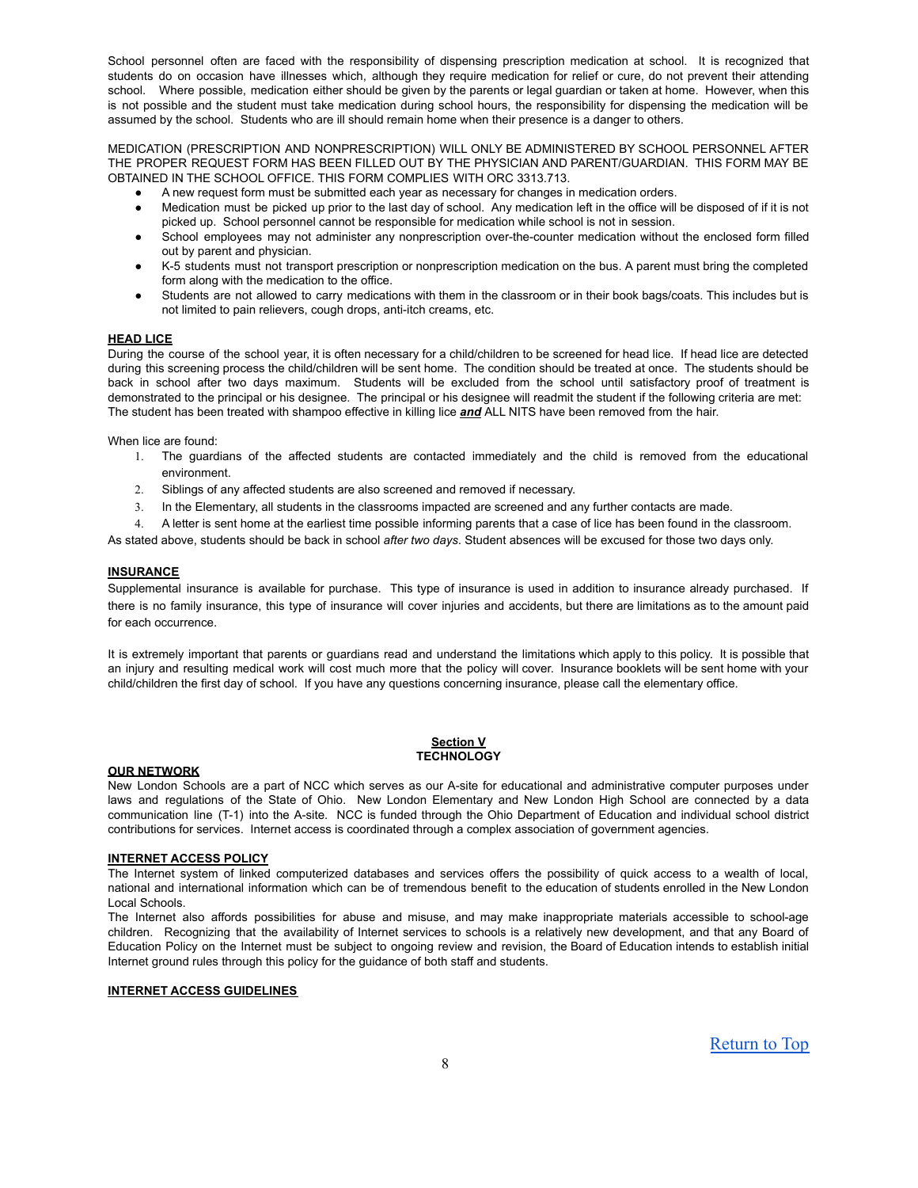School personnel often are faced with the responsibility of dispensing prescription medication at school. It is recognized that students do on occasion have illnesses which, although they require medication for relief or cure, do not prevent their attending school. Where possible, medication either should be given by the parents or legal guardian or taken at home. However, when this is not possible and the student must take medication during school hours, the responsibility for dispensing the medication will be assumed by the school. Students who are ill should remain home when their presence is a danger to others.

MEDICATION (PRESCRIPTION AND NONPRESCRIPTION) WILL ONLY BE ADMINISTERED BY SCHOOL PERSONNEL AFTER THE PROPER REQUEST FORM HAS BEEN FILLED OUT BY THE PHYSICIAN AND PARENT/GUARDIAN. THIS FORM MAY BE OBTAINED IN THE SCHOOL OFFICE. THIS FORM COMPLIES WITH ORC 3313.713.

- A new request form must be submitted each year as necessary for changes in medication orders.
- Medication must be picked up prior to the last day of school. Any medication left in the office will be disposed of if it is not picked up. School personnel cannot be responsible for medication while school is not in session.
- School employees may not administer any nonprescription over-the-counter medication without the enclosed form filled out by parent and physician.
- K-5 students must not transport prescription or nonprescription medication on the bus. A parent must bring the completed form along with the medication to the office.
- Students are not allowed to carry medications with them in the classroom or in their book bags/coats. This includes but is not limited to pain relievers, cough drops, anti-itch creams, etc.

### **HEAD LICE**

During the course of the school year, it is often necessary for a child/children to be screened for head lice. If head lice are detected during this screening process the child/children will be sent home. The condition should be treated at once. The students should be back in school after two days maximum. Students will be excluded from the school until satisfactory proof of treatment is demonstrated to the principal or his designee. The principal or his designee will readmit the student if the following criteria are met: The student has been treated with shampoo effective in killing lice *and* ALL NITS have been removed from the hair.

When lice are found:

- 1. The guardians of the affected students are contacted immediately and the child is removed from the educational environment.
- 2. Siblings of any affected students are also screened and removed if necessary.
- 3. In the Elementary, all students in the classrooms impacted are screened and any further contacts are made.
- 4. A letter is sent home at the earliest time possible informing parents that a case of lice has been found in the classroom.

As stated above, students should be back in school *after two days*. Student absences will be excused for those two days only.

### **INSURANCE**

Supplemental insurance is available for purchase. This type of insurance is used in addition to insurance already purchased. If there is no family insurance, this type of insurance will cover injuries and accidents, but there are limitations as to the amount paid for each occurrence.

It is extremely important that parents or guardians read and understand the limitations which apply to this policy. It is possible that an injury and resulting medical work will cost much more that the policy will cover. Insurance booklets will be sent home with your child/children the first day of school. If you have any questions concerning insurance, please call the elementary office.

### **Section V TECHNOLOGY**

#### **OUR NETWORK**

New London Schools are a part of NCC which serves as our A-site for educational and administrative computer purposes under laws and regulations of the State of Ohio. New London Elementary and New London High School are connected by a data communication line (T-1) into the A-site. NCC is funded through the Ohio Department of Education and individual school district contributions for services. Internet access is coordinated through a complex association of government agencies.

#### **INTERNET ACCESS POLICY**

The Internet system of linked computerized databases and services offers the possibility of quick access to a wealth of local, national and international information which can be of tremendous benefit to the education of students enrolled in the New London Local Schools.

The Internet also affords possibilities for abuse and misuse, and may make inappropriate materials accessible to school-age children. Recognizing that the availability of Internet services to schools is a relatively new development, and that any Board of Education Policy on the Internet must be subject to ongoing review and revision, the Board of Education intends to establish initial Internet ground rules through this policy for the guidance of both staff and students.

# **INTERNET ACCESS GUIDELINES**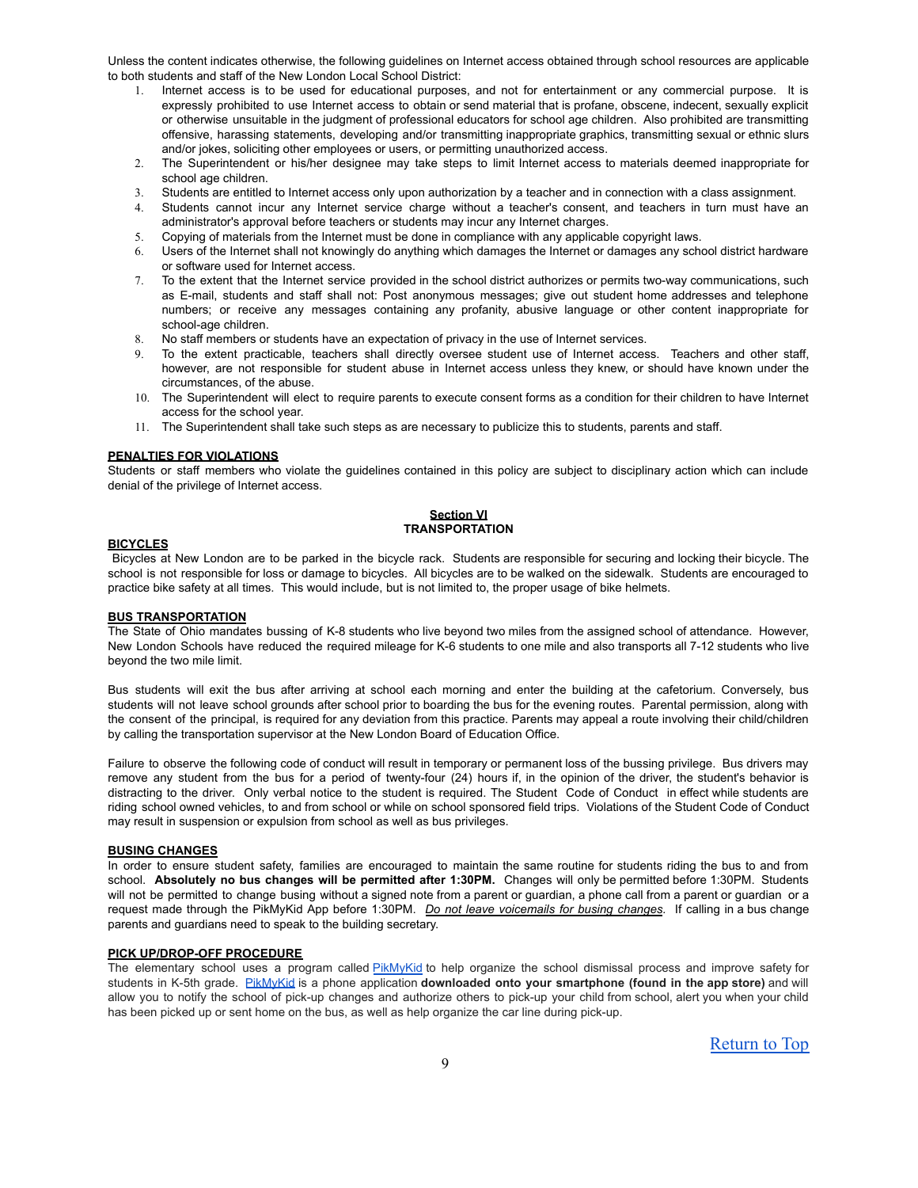Unless the content indicates otherwise, the following guidelines on Internet access obtained through school resources are applicable to both students and staff of the New London Local School District:

- Internet access is to be used for educational purposes, and not for entertainment or any commercial purpose. It is expressly prohibited to use Internet access to obtain or send material that is profane, obscene, indecent, sexually explicit or otherwise unsuitable in the judgment of professional educators for school age children. Also prohibited are transmitting offensive, harassing statements, developing and/or transmitting inappropriate graphics, transmitting sexual or ethnic slurs and/or jokes, soliciting other employees or users, or permitting unauthorized access.
- 2. The Superintendent or his/her designee may take steps to limit Internet access to materials deemed inappropriate for school age children.
- 3. Students are entitled to Internet access only upon authorization by a teacher and in connection with a class assignment.
- 4. Students cannot incur any Internet service charge without a teacher's consent, and teachers in turn must have an administrator's approval before teachers or students may incur any Internet charges.
- 5. Copying of materials from the Internet must be done in compliance with any applicable copyright laws.
- 6. Users of the Internet shall not knowingly do anything which damages the Internet or damages any school district hardware or software used for Internet access.
- 7. To the extent that the Internet service provided in the school district authorizes or permits two-way communications, such as E-mail, students and staff shall not: Post anonymous messages; give out student home addresses and telephone numbers; or receive any messages containing any profanity, abusive language or other content inappropriate for school-age children.
- 8. No staff members or students have an expectation of privacy in the use of Internet services.
- 9. To the extent practicable, teachers shall directly oversee student use of Internet access. Teachers and other staff, however, are not responsible for student abuse in Internet access unless they knew, or should have known under the circumstances, of the abuse.
- 10. The Superintendent will elect to require parents to execute consent forms as a condition for their children to have Internet access for the school year.
- 11. The Superintendent shall take such steps as are necessary to publicize this to students, parents and staff.

### **PENALTIES FOR VIOLATIONS**

Students or staff members who violate the guidelines contained in this policy are subject to disciplinary action which can include denial of the privilege of Internet access.

#### **Section VI TRANSPORTATION**

#### **BICYCLES**

Bicycles at New London are to be parked in the bicycle rack. Students are responsible for securing and locking their bicycle. The school is not responsible for loss or damage to bicycles. All bicycles are to be walked on the sidewalk. Students are encouraged to practice bike safety at all times. This would include, but is not limited to, the proper usage of bike helmets.

# **BUS TRANSPORTATION**

The State of Ohio mandates bussing of K-8 students who live beyond two miles from the assigned school of attendance. However, New London Schools have reduced the required mileage for K-6 students to one mile and also transports all 7-12 students who live beyond the two mile limit.

Bus students will exit the bus after arriving at school each morning and enter the building at the cafetorium. Conversely, bus students will not leave school grounds after school prior to boarding the bus for the evening routes. Parental permission, along with the consent of the principal, is required for any deviation from this practice. Parents may appeal a route involving their child/children by calling the transportation supervisor at the New London Board of Education Office.

Failure to observe the following code of conduct will result in temporary or permanent loss of the bussing privilege. Bus drivers may remove any student from the bus for a period of twenty-four (24) hours if, in the opinion of the driver, the student's behavior is distracting to the driver. Only verbal notice to the student is required. The Student Code of Conduct in effect while students are riding school owned vehicles, to and from school or while on school sponsored field trips. Violations of the Student Code of Conduct may result in suspension or expulsion from school as well as bus privileges.

#### **BUSING CHANGES**

In order to ensure student safety, families are encouraged to maintain the same routine for students riding the bus to and from school. **Absolutely no bus changes will be permitted after 1:30PM.** Changes will only be permitted before 1:30PM. Students will not be permitted to change busing without a signed note from a parent or guardian, a phone call from a parent or guardian or a request made through the PikMyKid App before 1:30PM. *Do not leave voicemails for busing changes.* If calling in a bus change parents and guardians need to speak to the building secretary.

#### **PICK UP/DROP-OFF PROCEDURE**

The elementary school uses a program called [PikMyKid](http://t.sidekickopen35.com/e1t/c/5/f18dQhb0S7lC8dDMPbW2n0x6l2B9nMJW7t5XYg4XrfH2VQJSJd2zqryxW1pgBJ-56dDX0f2zGSXT02?si=6115684092477440&pi=C36EEB43-160A-4D98-965B-DBECF16E0254&t=http%3A%2F%2Fpikmykid%2Ecom) to help organize the school dismissal process and improve safety for students in K-5th grade. [PikMyKid](http://t.sidekickopen35.com/e1t/c/5/f18dQhb0S7lC8dDMPbW2n0x6l2B9nMJW7t5XYg4XrfH2VQJSJd2zqryxW1pgBJ-56dDX0f2zGSXT02?si=6115684092477440&pi=C36EEB43-160A-4D98-965B-DBECF16E0254&t=http%3A%2F%2Fpikmykid%2Ecom) is a phone application **downloaded onto your smartphone (found in the app store)** and will allow you to notify the school of pick-up changes and authorize others to pick-up your child from school, alert you when your child has been picked up or sent home on the bus, as well as help organize the car line during pick-up.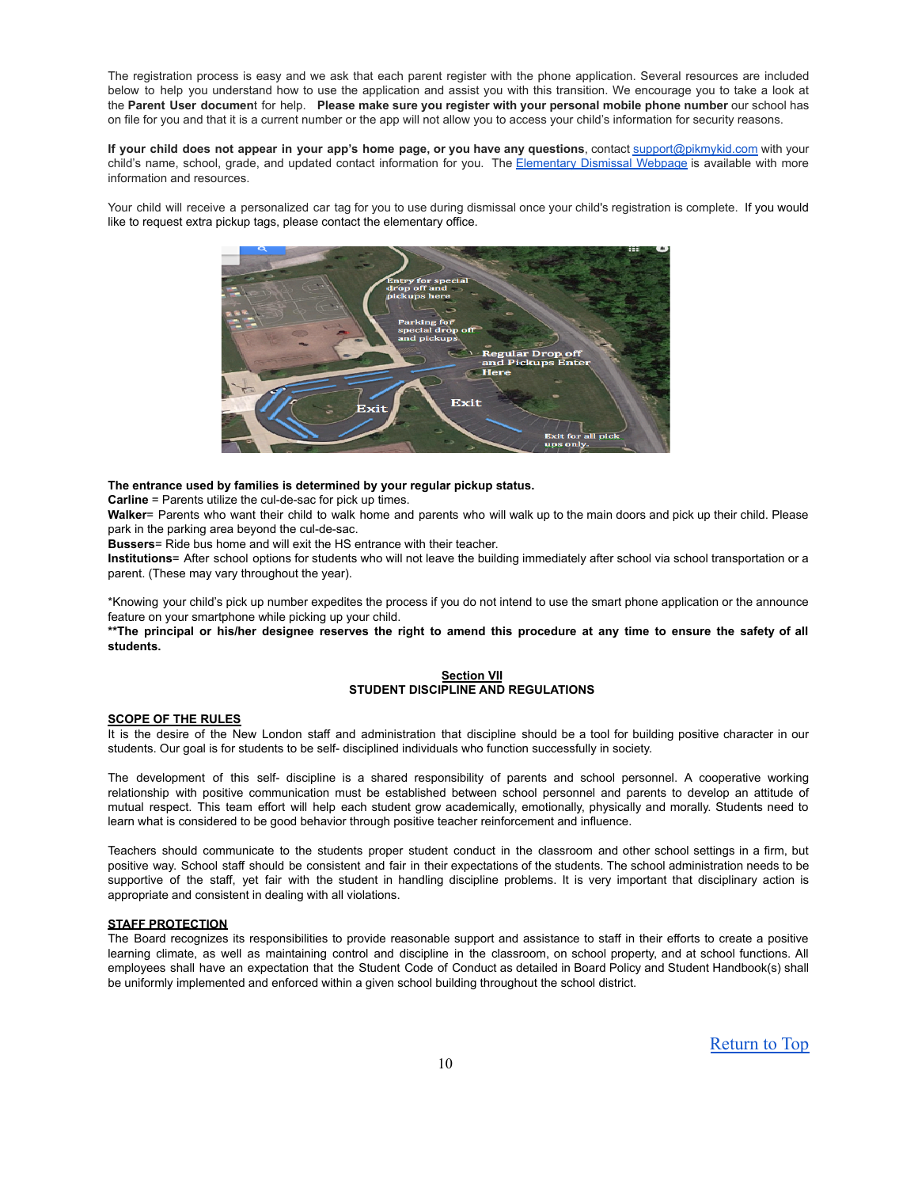The registration process is easy and we ask that each parent register with the phone application. Several resources are included below to help you understand how to use the application and assist you with this transition. We encourage you to take a look at the **Parent User documen**t for help. **Please make sure you register with your personal mobile phone number** our school has on file for you and that it is a current number or the app will not allow you to access your child's information for security reasons.

If your child does not appear in your app's home page, or you have any questions, contact [support@pikmykid.com](mailto:support@pikmykid.com) with your child's name, school, grade, and updated contact information for you. The [Elementary](http://www.nlschools.org/protected/ArticleView.aspx?iid=6Y2A030&dasi=4GA22) Dismissal Webpage is available with more information and resources.

Your child will receive a personalized car tag for you to use during dismissal once your child's registration is complete. If you would like to request extra pickup tags, please contact the elementary office.



### **The entrance used by families is determined by your regular pickup status.**

**Carline** = Parents utilize the cul-de-sac for pick up times.

**Walker**= Parents who want their child to walk home and parents who will walk up to the main doors and pick up their child. Please park in the parking area beyond the cul-de-sac.

**Bussers**= Ride bus home and will exit the HS entrance with their teacher.

**Institutions**= After school options for students who will not leave the building immediately after school via school transportation or a parent. (These may vary throughout the year).

\*Knowing your child's pick up number expedites the process if you do not intend to use the smart phone application or the announce feature on your smartphone while picking up your child.

\*\* The principal or his/her designee reserves the right to amend this procedure at any time to ensure the safety of all **students.**

# **Section VII STUDENT DISCIPLINE AND REGULATIONS**

#### **SCOPE OF THE RULES**

It is the desire of the New London staff and administration that discipline should be a tool for building positive character in our students. Our goal is for students to be self- disciplined individuals who function successfully in society.

The development of this self- discipline is a shared responsibility of parents and school personnel. A cooperative working relationship with positive communication must be established between school personnel and parents to develop an attitude of mutual respect. This team effort will help each student grow academically, emotionally, physically and morally. Students need to learn what is considered to be good behavior through positive teacher reinforcement and influence.

Teachers should communicate to the students proper student conduct in the classroom and other school settings in a firm, but positive way. School staff should be consistent and fair in their expectations of the students. The school administration needs to be supportive of the staff, yet fair with the student in handling discipline problems. It is very important that disciplinary action is appropriate and consistent in dealing with all violations.

# **STAFF PROTECTION**

The Board recognizes its responsibilities to provide reasonable support and assistance to staff in their efforts to create a positive learning climate, as well as maintaining control and discipline in the classroom, on school property, and at school functions. All employees shall have an expectation that the Student Code of Conduct as detailed in Board Policy and Student Handbook(s) shall be uniformly implemented and enforced within a given school building throughout the school district.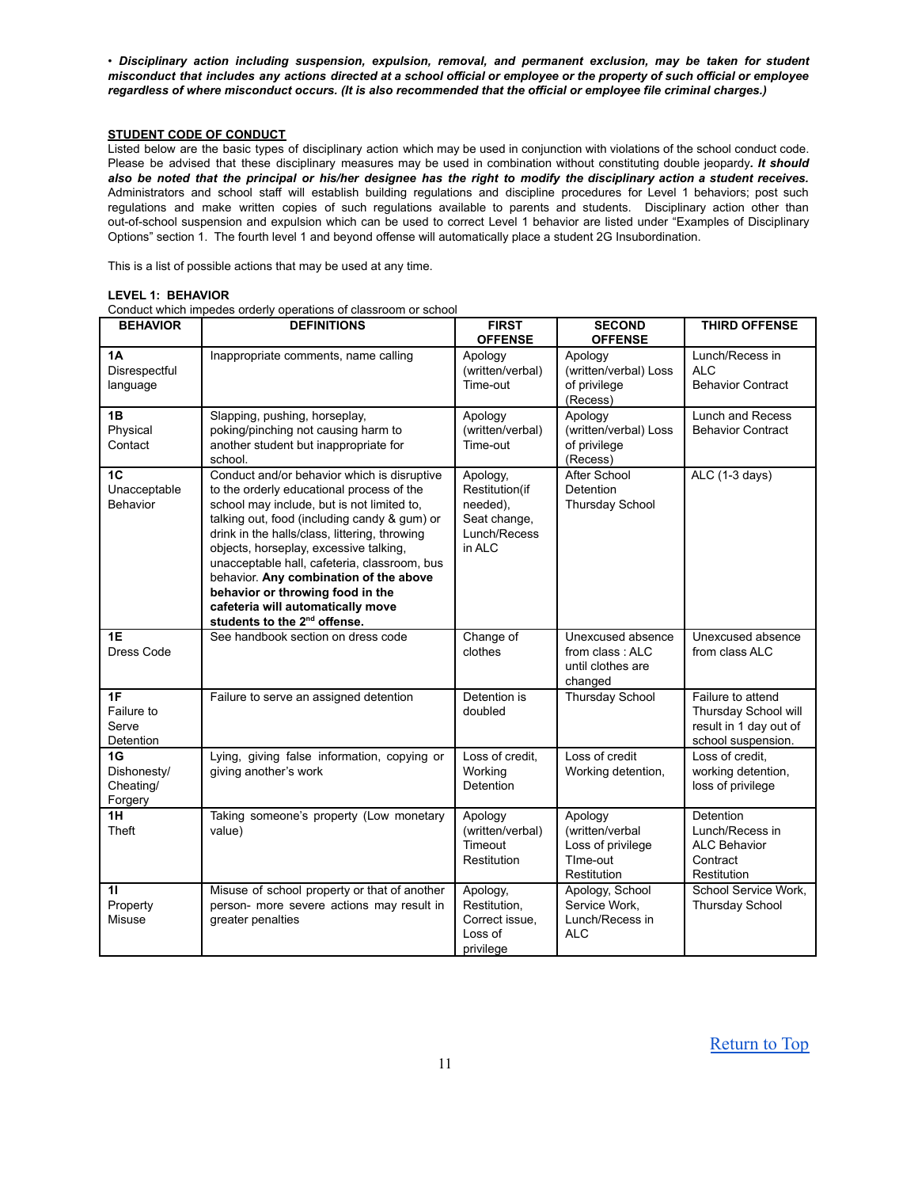• *Disciplinary action including suspension, expulsion, removal, and permanent exclusion, may be taken for student* misconduct that includes any actions directed at a school official or employee or the property of such official or employee regardless of where misconduct occurs. (It is also recommended that the official or employee file criminal charges.)

# **STUDENT CODE OF CONDUCT**

Listed below are the basic types of disciplinary action which may be used in conjunction with violations of the school conduct code. Please be advised that these disciplinary measures may be used in combination without constituting double jeopardy*. It should* also be noted that the principal or his/her designee has the right to modify the disciplinary action a student receives. Administrators and school staff will establish building regulations and discipline procedures for Level 1 behaviors; post such regulations and make written copies of such regulations available to parents and students. Disciplinary action other than out-of-school suspension and expulsion which can be used to correct Level 1 behavior are listed under "Examples of Disciplinary Options" section 1. The fourth level 1 and beyond offense will automatically place a student 2G Insubordination.

This is a list of possible actions that may be used at any time.

|  | LEVEL 1: BEHAVIOR |
|--|-------------------|
|--|-------------------|

Conduct which impedes orderly operations of classroom or school

| <b>BEHAVIOR</b>                                   | <b>DEFINITIONS</b>                                                                                                                                                                                                                                                                                                                                                                                                                                                                               | <b>FIRST</b><br><b>OFFENSE</b>                                                   | <b>SECOND</b><br><b>OFFENSE</b>                                            | <b>THIRD OFFENSE</b>                                                                      |
|---------------------------------------------------|--------------------------------------------------------------------------------------------------------------------------------------------------------------------------------------------------------------------------------------------------------------------------------------------------------------------------------------------------------------------------------------------------------------------------------------------------------------------------------------------------|----------------------------------------------------------------------------------|----------------------------------------------------------------------------|-------------------------------------------------------------------------------------------|
| 1Α<br>Disrespectful<br>language                   | Inappropriate comments, name calling                                                                                                                                                                                                                                                                                                                                                                                                                                                             | Apology<br>(written/verbal)<br>Time-out                                          | Apology<br>(written/verbal) Loss<br>of privilege<br>(Recess)               | Lunch/Recess in<br><b>ALC</b><br><b>Behavior Contract</b>                                 |
| 1B<br>Physical<br>Contact                         | Slapping, pushing, horseplay,<br>poking/pinching not causing harm to<br>another student but inappropriate for<br>school.                                                                                                                                                                                                                                                                                                                                                                         | Apology<br>(written/verbal)<br>Time-out                                          | Apology<br>(written/verbal) Loss<br>of privilege<br>(Recess)               | Lunch and Recess<br><b>Behavior Contract</b>                                              |
| 1 <sub>C</sub><br>Unacceptable<br><b>Behavior</b> | Conduct and/or behavior which is disruptive<br>to the orderly educational process of the<br>school may include, but is not limited to,<br>talking out, food (including candy & gum) or<br>drink in the halls/class, littering, throwing<br>objects, horseplay, excessive talking,<br>unacceptable hall, cafeteria, classroom, bus<br>behavior. Any combination of the above<br>behavior or throwing food in the<br>cafeteria will automatically move<br>students to the 2 <sup>nd</sup> offense. | Apology,<br>Restitution(if<br>needed),<br>Seat change,<br>Lunch/Recess<br>in ALC | <b>After School</b><br><b>Detention</b><br><b>Thursday School</b>          | ALC (1-3 days)                                                                            |
| $\overline{1E}$<br>Dress Code                     | See handbook section on dress code                                                                                                                                                                                                                                                                                                                                                                                                                                                               | Change of<br>clothes                                                             | Unexcused absence<br>from class: ALC<br>until clothes are<br>changed       | Unexcused absence<br>from class ALC                                                       |
| 1F<br>Failure to<br>Serve<br>Detention            | Failure to serve an assigned detention                                                                                                                                                                                                                                                                                                                                                                                                                                                           | Detention is<br>doubled                                                          | <b>Thursday School</b>                                                     | Failure to attend<br>Thursday School will<br>result in 1 day out of<br>school suspension. |
| 1G<br>Dishonesty/<br>Cheating/<br>Forgery         | Lying, giving false information, copying or<br>giving another's work                                                                                                                                                                                                                                                                                                                                                                                                                             | Loss of credit,<br>Working<br>Detention                                          | Loss of credit<br>Working detention,                                       | Loss of credit.<br>working detention,<br>loss of privilege                                |
| 1H<br>Theft                                       | Taking someone's property (Low monetary<br>value)                                                                                                                                                                                                                                                                                                                                                                                                                                                | Apology<br>(written/verbal)<br>Timeout<br>Restitution                            | Apology<br>(written/verbal<br>Loss of privilege<br>TIme-out<br>Restitution | <b>Detention</b><br>Lunch/Recess in<br><b>ALC Behavior</b><br>Contract<br>Restitution     |
| 11<br>Property<br>Misuse                          | Misuse of school property or that of another<br>person- more severe actions may result in<br>greater penalties                                                                                                                                                                                                                                                                                                                                                                                   | Apology,<br>Restitution,<br>Correct issue.<br>Loss of<br>privilege               | Apology, School<br>Service Work,<br>Lunch/Recess in<br><b>ALC</b>          | School Service Work.<br><b>Thursday School</b>                                            |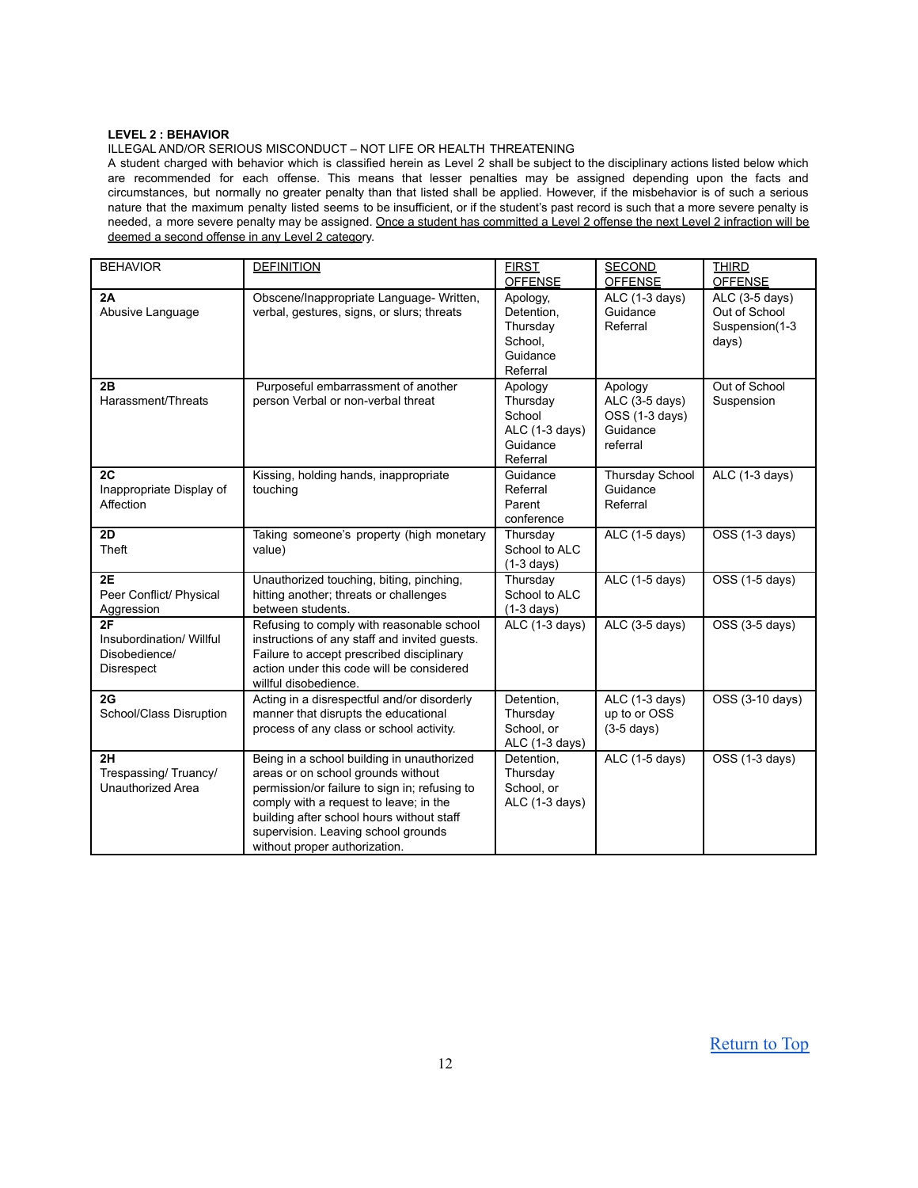# **LEVEL 2 : BEHAVIOR**

ILLEGAL AND/OR SERIOUS MISCONDUCT – NOT LIFE OR HEALTH THREATENING

A student charged with behavior which is classified herein as Level 2 shall be subject to the disciplinary actions listed below which are recommended for each offense. This means that lesser penalties may be assigned depending upon the facts and circumstances, but normally no greater penalty than that listed shall be applied. However, if the misbehavior is of such a serious nature that the maximum penalty listed seems to be insufficient, or if the student's past record is such that a more severe penalty is needed, a more severe penalty may be assigned. Once a student has committed a Level 2 offense the next Level 2 infraction will be deemed a second offense in any Level 2 category.

| <b>BEHAVIOR</b>                                               | <b>DEFINITION</b>                                                                                                                                                                                                                                                                                | <b>FIRST</b><br><b>OFFENSE</b>                                          | <b>SECOND</b><br><b>OFFENSE</b>                                     | <b>THIRD</b><br><b>OFFENSE</b>                             |
|---------------------------------------------------------------|--------------------------------------------------------------------------------------------------------------------------------------------------------------------------------------------------------------------------------------------------------------------------------------------------|-------------------------------------------------------------------------|---------------------------------------------------------------------|------------------------------------------------------------|
| 2A<br>Abusive Language                                        | Obscene/Inappropriate Language- Written,<br>verbal, gestures, signs, or slurs; threats                                                                                                                                                                                                           | Apology,<br>Detention,<br>Thursday<br>School,<br>Guidance<br>Referral   | ALC (1-3 days)<br>Guidance<br>Referral                              | ALC (3-5 days)<br>Out of School<br>Suspension(1-3<br>days) |
| 2B<br>Harassment/Threats                                      | Purposeful embarrassment of another<br>person Verbal or non-verbal threat                                                                                                                                                                                                                        | Apology<br>Thursday<br>School<br>ALC (1-3 days)<br>Guidance<br>Referral | Apology<br>ALC (3-5 days)<br>OSS (1-3 days)<br>Guidance<br>referral | Out of School<br>Suspension                                |
| 2C<br>Inappropriate Display of<br>Affection                   | Kissing, holding hands, inappropriate<br>touching                                                                                                                                                                                                                                                | Guidance<br>Referral<br>Parent<br>conference                            | <b>Thursday School</b><br>Guidance<br>Referral                      | $ALC$ (1-3 days)                                           |
| 2D<br>Theft                                                   | Taking someone's property (high monetary<br>value)                                                                                                                                                                                                                                               | Thursday<br>School to ALC<br>$(1-3 \text{ days})$                       | ALC (1-5 days)                                                      | OSS (1-3 days)                                             |
| 2E<br>Peer Conflict/ Physical<br>Aggression                   | Unauthorized touching, biting, pinching,<br>hitting another; threats or challenges<br>between students.                                                                                                                                                                                          | Thursday<br>School to ALC<br>$(1-3 \text{ days})$                       | ALC (1-5 days)                                                      | OSS (1-5 days)                                             |
| 2F<br>Insubordination/ Willful<br>Disobedience/<br>Disrespect | Refusing to comply with reasonable school<br>instructions of any staff and invited guests.<br>Failure to accept prescribed disciplinary<br>action under this code will be considered<br>willful disobedience.                                                                                    | $ALC$ (1-3 days)                                                        | ALC (3-5 days)                                                      | $OSS(3-5 days)$                                            |
| 2G<br>School/Class Disruption                                 | Acting in a disrespectful and/or disorderly<br>manner that disrupts the educational<br>process of any class or school activity.                                                                                                                                                                  | Detention,<br>Thursday<br>School, or<br>ALC (1-3 days)                  | ALC (1-3 days)<br>up to or OSS<br>$(3-5$ days)                      | OSS (3-10 days)                                            |
| 2H<br>Trespassing/ Truancy/<br><b>Unauthorized Area</b>       | Being in a school building in unauthorized<br>areas or on school grounds without<br>permission/or failure to sign in; refusing to<br>comply with a request to leave; in the<br>building after school hours without staff<br>supervision. Leaving school grounds<br>without proper authorization. | Detention.<br>Thursday<br>School, or<br>ALC (1-3 days)                  | ALC (1-5 days)                                                      | $\overline{OSS(1-3 \text{ days})}$                         |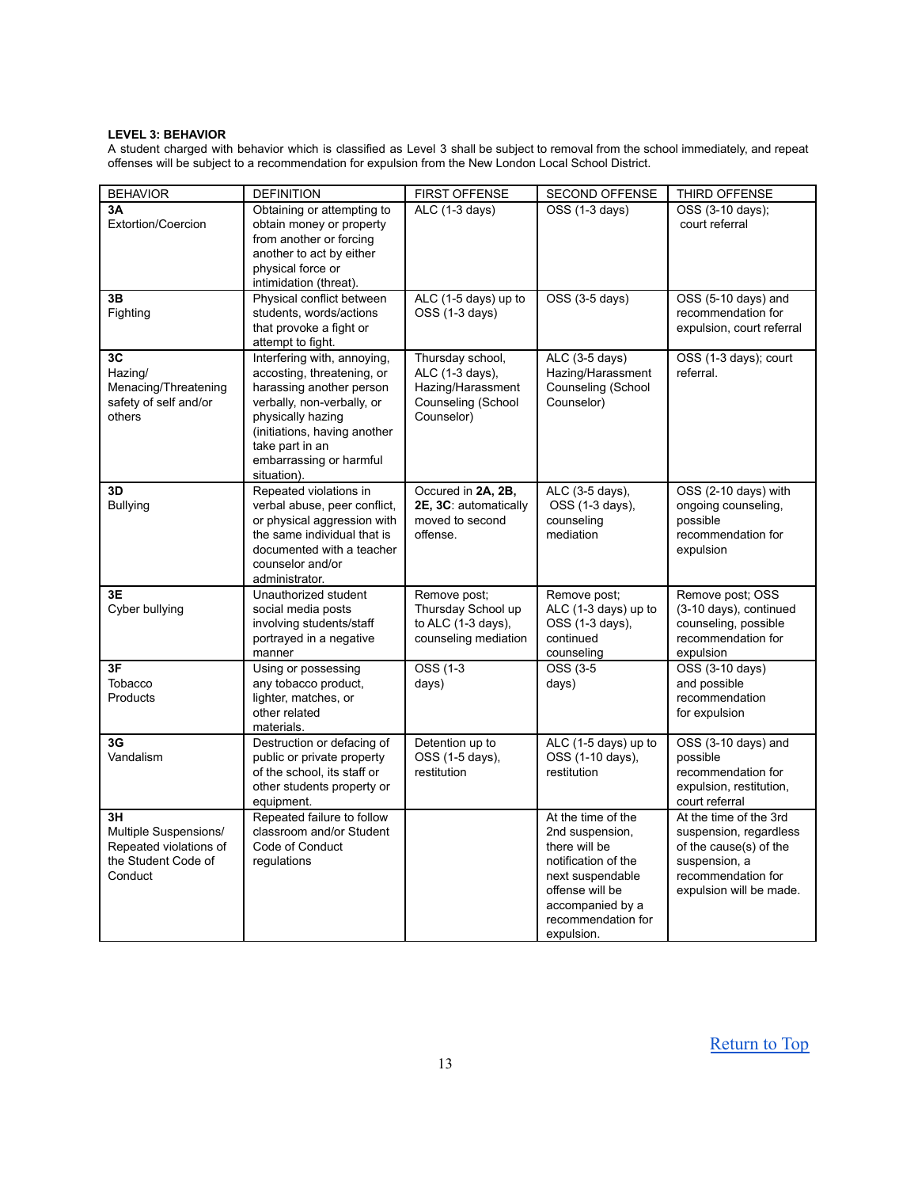# **LEVEL 3: BEHAVIOR**

A student charged with behavior which is classified as Level 3 shall be subject to removal from the school immediately, and repeat offenses will be subject to a recommendation for expulsion from the New London Local School District.

| <b>BEHAVIOR</b>                                                                         | <b>DEFINITION</b>                                                                                                                                                                                                                     | <b>FIRST OFFENSE</b>                                                                         | <b>SECOND OFFENSE</b>                                                                                                                                                        | THIRD OFFENSE                                                                                                                                |
|-----------------------------------------------------------------------------------------|---------------------------------------------------------------------------------------------------------------------------------------------------------------------------------------------------------------------------------------|----------------------------------------------------------------------------------------------|------------------------------------------------------------------------------------------------------------------------------------------------------------------------------|----------------------------------------------------------------------------------------------------------------------------------------------|
| 3Α<br>Extortion/Coercion                                                                | Obtaining or attempting to<br>obtain money or property<br>from another or forcing<br>another to act by either<br>physical force or<br>intimidation (threat).                                                                          | ALC (1-3 days)                                                                               | OSS (1-3 days)                                                                                                                                                               | OSS (3-10 days);<br>court referral                                                                                                           |
| 3B<br>Fighting                                                                          | Physical conflict between<br>students, words/actions<br>that provoke a fight or<br>attempt to fight.                                                                                                                                  | ALC (1-5 days) up to<br>OSS (1-3 days)                                                       | OSS (3-5 days)                                                                                                                                                               | OSS (5-10 days) and<br>recommendation for<br>expulsion, court referral                                                                       |
| 3C<br>Hazing/<br>Menacing/Threatening<br>safety of self and/or<br>others                | Interfering with, annoying,<br>accosting, threatening, or<br>harassing another person<br>verbally, non-verbally, or<br>physically hazing<br>(initiations, having another<br>take part in an<br>embarrassing or harmful<br>situation). | Thursday school,<br>ALC (1-3 days),<br>Hazing/Harassment<br>Counseling (School<br>Counselor) | ALC (3-5 days)<br>Hazing/Harassment<br>Counseling (School<br>Counselor)                                                                                                      | OSS (1-3 days); court<br>referral.                                                                                                           |
| 3D<br><b>Bullying</b>                                                                   | Repeated violations in<br>verbal abuse, peer conflict,<br>or physical aggression with<br>the same individual that is<br>documented with a teacher<br>counselor and/or<br>administrator.                                               | Occured in 2A, 2B,<br>2E, 3C: automatically<br>moved to second<br>offense.                   | ALC (3-5 days),<br>OSS (1-3 days),<br>counseling<br>mediation                                                                                                                | OSS (2-10 days) with<br>ongoing counseling,<br>possible<br>recommendation for<br>expulsion                                                   |
| 3E<br>Cyber bullying                                                                    | Unauthorized student<br>social media posts<br>involving students/staff<br>portrayed in a negative<br>manner                                                                                                                           | Remove post;<br>Thursday School up<br>to ALC $(1-3$ days),<br>counseling mediation           | Remove post;<br>ALC (1-3 days) up to<br>OSS (1-3 days),<br>continued<br>counseling                                                                                           | Remove post; OSS<br>(3-10 days), continued<br>counseling, possible<br>recommendation for<br>expulsion                                        |
| 3F<br>Tobacco<br>Products                                                               | Using or possessing<br>any tobacco product,<br>lighter, matches, or<br>other related<br>materials.                                                                                                                                    | OSS (1-3<br>days)                                                                            | OSS (3-5<br>days)                                                                                                                                                            | OSS (3-10 days)<br>and possible<br>recommendation<br>for expulsion                                                                           |
| 3G<br>Vandalism                                                                         | Destruction or defacing of<br>public or private property<br>of the school, its staff or<br>other students property or<br>equipment.                                                                                                   | Detention up to<br>OSS (1-5 days),<br>restitution                                            | ALC (1-5 days) up to<br>OSS (1-10 days),<br>restitution                                                                                                                      | OSS (3-10 days) and<br>possible<br>recommendation for<br>expulsion, restitution,<br>court referral                                           |
| 3H<br>Multiple Suspensions/<br>Repeated violations of<br>the Student Code of<br>Conduct | Repeated failure to follow<br>classroom and/or Student<br>Code of Conduct<br>regulations                                                                                                                                              |                                                                                              | At the time of the<br>2nd suspension,<br>there will be<br>notification of the<br>next suspendable<br>offense will be<br>accompanied by a<br>recommendation for<br>expulsion. | At the time of the 3rd<br>suspension, regardless<br>of the cause(s) of the<br>suspension, a<br>recommendation for<br>expulsion will be made. |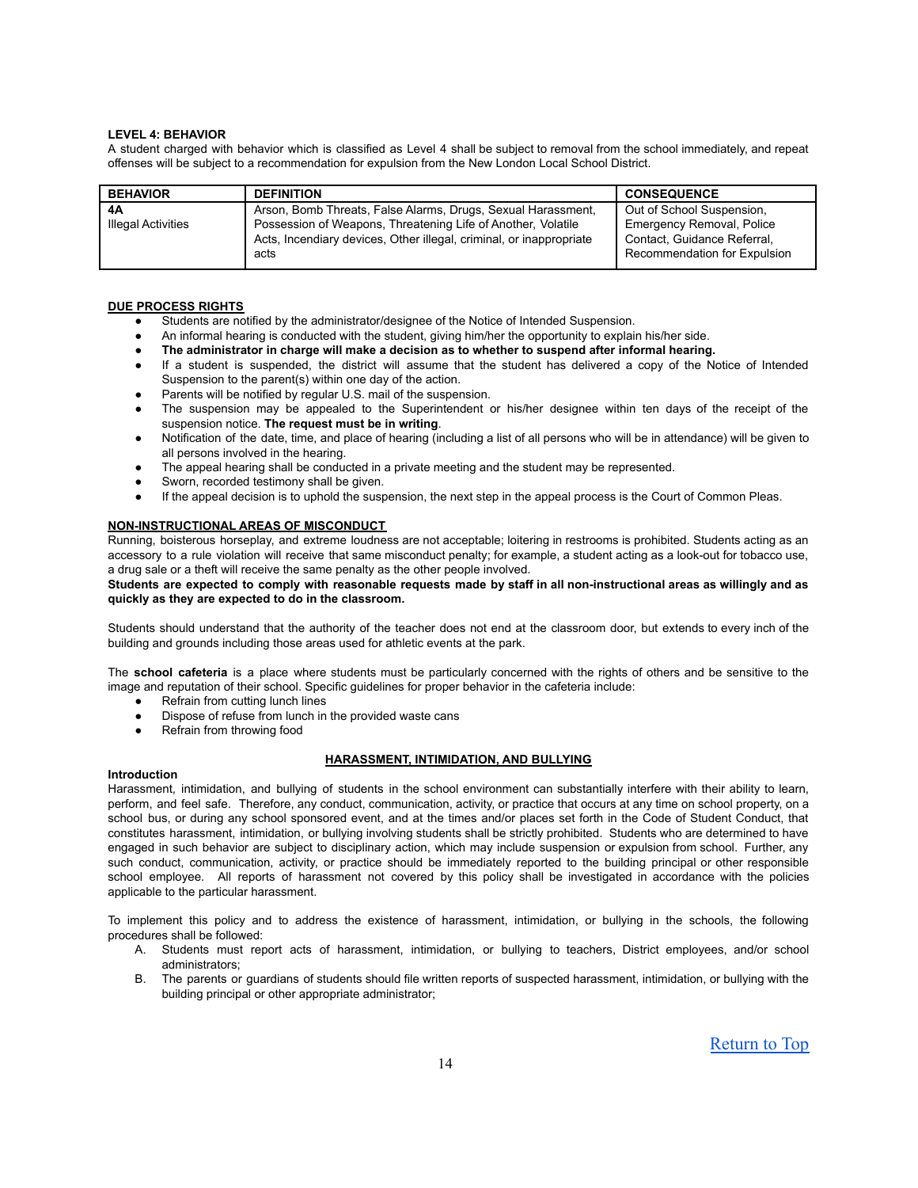# **LEVEL 4: BEHAVIOR**

A student charged with behavior which is classified as Level 4 shall be subject to removal from the school immediately, and repeat offenses will be subject to a recommendation for expulsion from the New London Local School District.

| <b>BEHAVIOR</b>    | <b>DEFINITION</b>                                                                                                                           | <b>CONSEQUENCE</b>                                                                       |
|--------------------|---------------------------------------------------------------------------------------------------------------------------------------------|------------------------------------------------------------------------------------------|
| 4A                 | Arson, Bomb Threats, False Alarms, Drugs, Sexual Harassment,                                                                                | Out of School Suspension,                                                                |
| Illegal Activities | Possession of Weapons, Threatening Life of Another, Volatile<br>Acts, Incendiary devices, Other illegal, criminal, or inappropriate<br>acts | Emergency Removal, Police<br>Contact, Guidance Referral,<br>Recommendation for Expulsion |

# **DUE PROCESS RIGHTS**

- Students are notified by the administrator/designee of the Notice of Intended Suspension.
- An informal hearing is conducted with the student, giving him/her the opportunity to explain his/her side.
- **The administrator in charge will make a decision as to whether to suspend after informal hearing.**
- If a student is suspended, the district will assume that the student has delivered a copy of the Notice of Intended Suspension to the parent(s) within one day of the action.
- Parents will be notified by regular U.S. mail of the suspension.
- The suspension may be appealed to the Superintendent or his/her designee within ten days of the receipt of the suspension notice. **The request must be in writing**.
- Notification of the date, time, and place of hearing (including a list of all persons who will be in attendance) will be given to all persons involved in the hearing.
- The appeal hearing shall be conducted in a private meeting and the student may be represented.
- Sworn, recorded testimony shall be given.
- If the appeal decision is to uphold the suspension, the next step in the appeal process is the Court of Common Pleas.

### **NON-INSTRUCTIONAL AREAS OF MISCONDUCT**

Running, boisterous horseplay, and extreme loudness are not acceptable; loitering in restrooms is prohibited. Students acting as an accessory to a rule violation will receive that same misconduct penalty; for example, a student acting as a look-out for tobacco use, a drug sale or a theft will receive the same penalty as the other people involved.

# Students are expected to comply with reasonable requests made by staff in all non-instructional areas as willingly and as **quickly as they are expected to do in the classroom.**

Students should understand that the authority of the teacher does not end at the classroom door, but extends to every inch of the building and grounds including those areas used for athletic events at the park.

The **school cafeteria** is a place where students must be particularly concerned with the rights of others and be sensitive to the image and reputation of their school. Specific guidelines for proper behavior in the cafeteria include:

- Refrain from cutting lunch lines
- Dispose of refuse from lunch in the provided waste cans
- Refrain from throwing food

# **HARASSMENT, INTIMIDATION, AND BULLYING**

# **Introduction**

Harassment, intimidation, and bullying of students in the school environment can substantially interfere with their ability to learn, perform, and feel safe. Therefore, any conduct, communication, activity, or practice that occurs at any time on school property, on a school bus, or during any school sponsored event, and at the times and/or places set forth in the Code of Student Conduct, that constitutes harassment, intimidation, or bullying involving students shall be strictly prohibited. Students who are determined to have engaged in such behavior are subject to disciplinary action, which may include suspension or expulsion from school. Further, any such conduct, communication, activity, or practice should be immediately reported to the building principal or other responsible school employee. All reports of harassment not covered by this policy shall be investigated in accordance with the policies applicable to the particular harassment.

To implement this policy and to address the existence of harassment, intimidation, or bullying in the schools, the following procedures shall be followed:

- A. Students must report acts of harassment, intimidation, or bullying to teachers, District employees, and/or school administrators;
- B. The parents or guardians of students should file written reports of suspected harassment, intimidation, or bullying with the building principal or other appropriate administrator;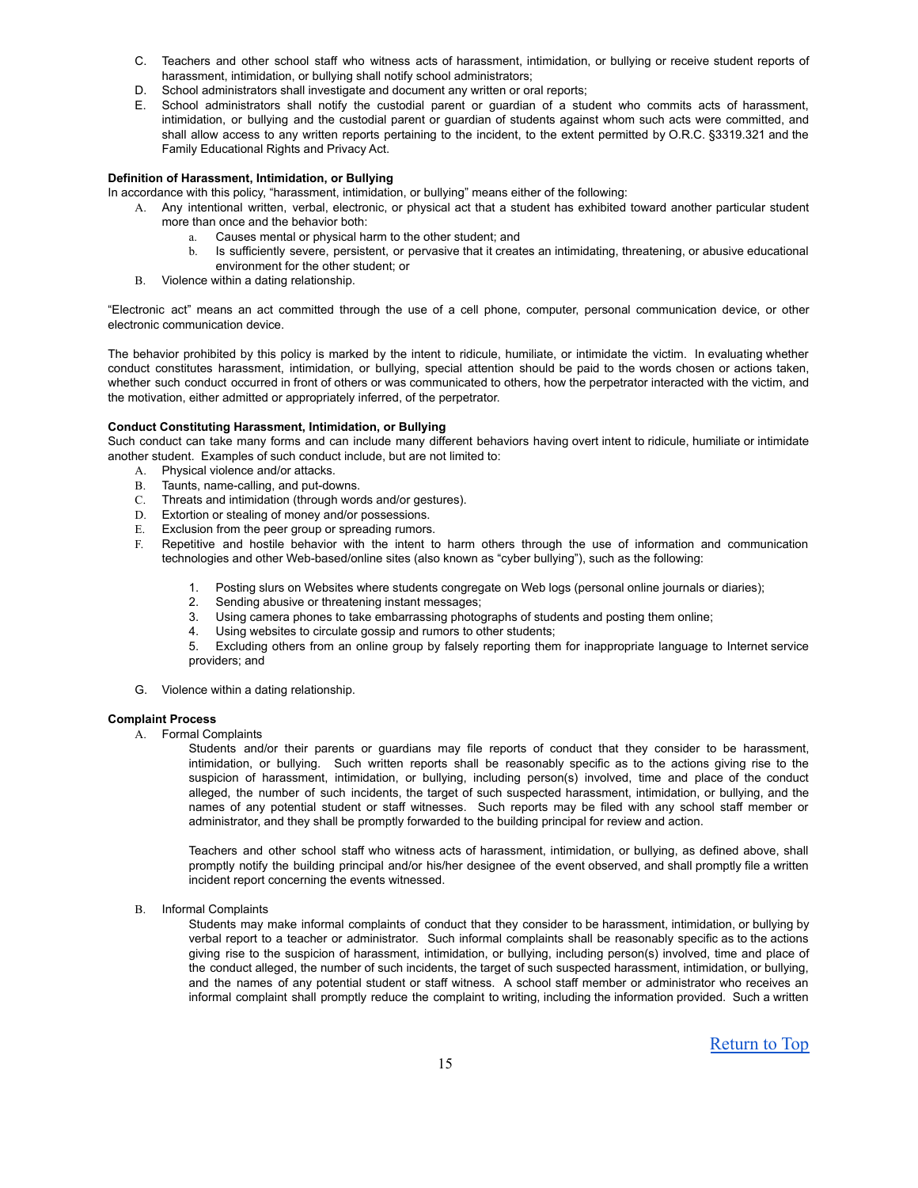- C. Teachers and other school staff who witness acts of harassment, intimidation, or bullying or receive student reports of harassment, intimidation, or bullying shall notify school administrators;
- D. School administrators shall investigate and document any written or oral reports;
- E. School administrators shall notify the custodial parent or guardian of a student who commits acts of harassment, intimidation, or bullying and the custodial parent or guardian of students against whom such acts were committed, and shall allow access to any written reports pertaining to the incident, to the extent permitted by O.R.C. §3319.321 and the Family Educational Rights and Privacy Act.

# **Definition of Harassment, Intimidation, or Bullying**

- In accordance with this policy, "harassment, intimidation, or bullying" means either of the following:
	- A. Any intentional written, verbal, electronic, or physical act that a student has exhibited toward another particular student more than once and the behavior both:
		- a. Causes mental or physical harm to the other student; and
			- b. Is sufficiently severe, persistent, or pervasive that it creates an intimidating, threatening, or abusive educational environment for the other student; or
	- B. Violence within a dating relationship.

"Electronic act" means an act committed through the use of a cell phone, computer, personal communication device, or other electronic communication device.

The behavior prohibited by this policy is marked by the intent to ridicule, humiliate, or intimidate the victim. In evaluating whether conduct constitutes harassment, intimidation, or bullying, special attention should be paid to the words chosen or actions taken, whether such conduct occurred in front of others or was communicated to others, how the perpetrator interacted with the victim, and the motivation, either admitted or appropriately inferred, of the perpetrator.

### **Conduct Constituting Harassment, Intimidation, or Bullying**

Such conduct can take many forms and can include many different behaviors having overt intent to ridicule, humiliate or intimidate another student. Examples of such conduct include, but are not limited to:

- A. Physical violence and/or attacks.
- B. Taunts, name-calling, and put-downs.
- C. Threats and intimidation (through words and/or gestures).
- D. Extortion or stealing of money and/or possessions.
- E. Exclusion from the peer group or spreading rumors.
- F. Repetitive and hostile behavior with the intent to harm others through the use of information and communication technologies and other Web-based/online sites (also known as "cyber bullying"), such as the following:
	- 1. Posting slurs on Websites where students congregate on Web logs (personal online journals or diaries);
	- 2. Sending abusive or threatening instant messages;
	- 3. Using camera phones to take embarrassing photographs of students and posting them online;
	- 4. Using websites to circulate gossip and rumors to other students;
	- 5. Excluding others from an online group by falsely reporting them for inappropriate language to Internet service providers; and
- G. Violence within a dating relationship.

# **Complaint Process**

A. Formal Complaints

Students and/or their parents or guardians may file reports of conduct that they consider to be harassment, intimidation, or bullying. Such written reports shall be reasonably specific as to the actions giving rise to the suspicion of harassment, intimidation, or bullying, including person(s) involved, time and place of the conduct alleged, the number of such incidents, the target of such suspected harassment, intimidation, or bullying, and the names of any potential student or staff witnesses. Such reports may be filed with any school staff member or administrator, and they shall be promptly forwarded to the building principal for review and action.

Teachers and other school staff who witness acts of harassment, intimidation, or bullying, as defined above, shall promptly notify the building principal and/or his/her designee of the event observed, and shall promptly file a written incident report concerning the events witnessed.

B. Informal Complaints

Students may make informal complaints of conduct that they consider to be harassment, intimidation, or bullying by verbal report to a teacher or administrator. Such informal complaints shall be reasonably specific as to the actions giving rise to the suspicion of harassment, intimidation, or bullying, including person(s) involved, time and place of the conduct alleged, the number of such incidents, the target of such suspected harassment, intimidation, or bullying, and the names of any potential student or staff witness. A school staff member or administrator who receives an informal complaint shall promptly reduce the complaint to writing, including the information provided. Such a written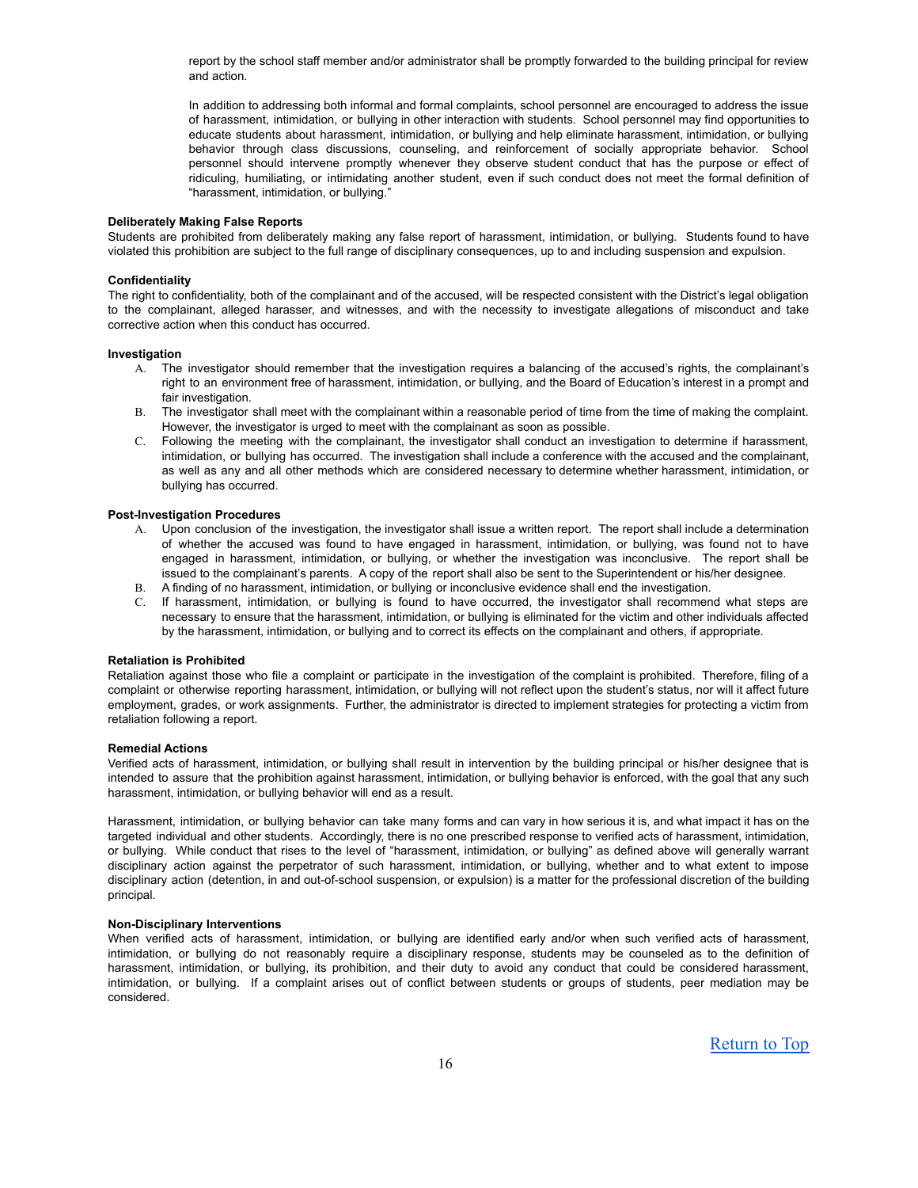report by the school staff member and/or administrator shall be promptly forwarded to the building principal for review and action.

In addition to addressing both informal and formal complaints, school personnel are encouraged to address the issue of harassment, intimidation, or bullying in other interaction with students. School personnel may find opportunities to educate students about harassment, intimidation, or bullying and help eliminate harassment, intimidation, or bullying behavior through class discussions, counseling, and reinforcement of socially appropriate behavior. School personnel should intervene promptly whenever they observe student conduct that has the purpose or effect of ridiculing, humiliating, or intimidating another student, even if such conduct does not meet the formal definition of "harassment, intimidation, or bullying."

# **Deliberately Making False Reports**

Students are prohibited from deliberately making any false report of harassment, intimidation, or bullying. Students found to have violated this prohibition are subject to the full range of disciplinary consequences, up to and including suspension and expulsion.

#### **Confidentiality**

The right to confidentiality, both of the complainant and of the accused, will be respected consistent with the District's legal obligation to the complainant, alleged harasser, and witnesses, and with the necessity to investigate allegations of misconduct and take corrective action when this conduct has occurred.

#### **Investigation**

- A. The investigator should remember that the investigation requires a balancing of the accused's rights, the complainant's right to an environment free of harassment, intimidation, or bullying, and the Board of Education's interest in a prompt and fair investigation
- B. The investigator shall meet with the complainant within a reasonable period of time from the time of making the complaint. However, the investigator is urged to meet with the complainant as soon as possible.
- C. Following the meeting with the complainant, the investigator shall conduct an investigation to determine if harassment, intimidation, or bullying has occurred. The investigation shall include a conference with the accused and the complainant, as well as any and all other methods which are considered necessary to determine whether harassment, intimidation, or bullying has occurred.

#### **Post-Investigation Procedures**

- A. Upon conclusion of the investigation, the investigator shall issue a written report. The report shall include a determination of whether the accused was found to have engaged in harassment, intimidation, or bullying, was found not to have engaged in harassment, intimidation, or bullying, or whether the investigation was inconclusive. The report shall be issued to the complainant's parents. A copy of the report shall also be sent to the Superintendent or his/her designee.
- B. A finding of no harassment, intimidation, or bullying or inconclusive evidence shall end the investigation.
- C. If harassment, intimidation, or bullying is found to have occurred, the investigator shall recommend what steps are necessary to ensure that the harassment, intimidation, or bullying is eliminated for the victim and other individuals affected by the harassment, intimidation, or bullying and to correct its effects on the complainant and others, if appropriate.

#### **Retaliation is Prohibited**

Retaliation against those who file a complaint or participate in the investigation of the complaint is prohibited. Therefore, filing of a complaint or otherwise reporting harassment, intimidation, or bullying will not reflect upon the student's status, nor will it affect future employment, grades, or work assignments. Further, the administrator is directed to implement strategies for protecting a victim from retaliation following a report.

#### **Remedial Actions**

Verified acts of harassment, intimidation, or bullying shall result in intervention by the building principal or his/her designee that is intended to assure that the prohibition against harassment, intimidation, or bullying behavior is enforced, with the goal that any such harassment, intimidation, or bullying behavior will end as a result.

Harassment, intimidation, or bullying behavior can take many forms and can vary in how serious it is, and what impact it has on the targeted individual and other students. Accordingly, there is no one prescribed response to verified acts of harassment, intimidation, or bullying. While conduct that rises to the level of "harassment, intimidation, or bullying" as defined above will generally warrant disciplinary action against the perpetrator of such harassment, intimidation, or bullying, whether and to what extent to impose disciplinary action (detention, in and out-of-school suspension, or expulsion) is a matter for the professional discretion of the building principal.

# **Non-Disciplinary Interventions**

When verified acts of harassment, intimidation, or bullying are identified early and/or when such verified acts of harassment, intimidation, or bullying do not reasonably require a disciplinary response, students may be counseled as to the definition of harassment, intimidation, or bullying, its prohibition, and their duty to avoid any conduct that could be considered harassment, intimidation, or bullying. If a complaint arises out of conflict between students or groups of students, peer mediation may be considered.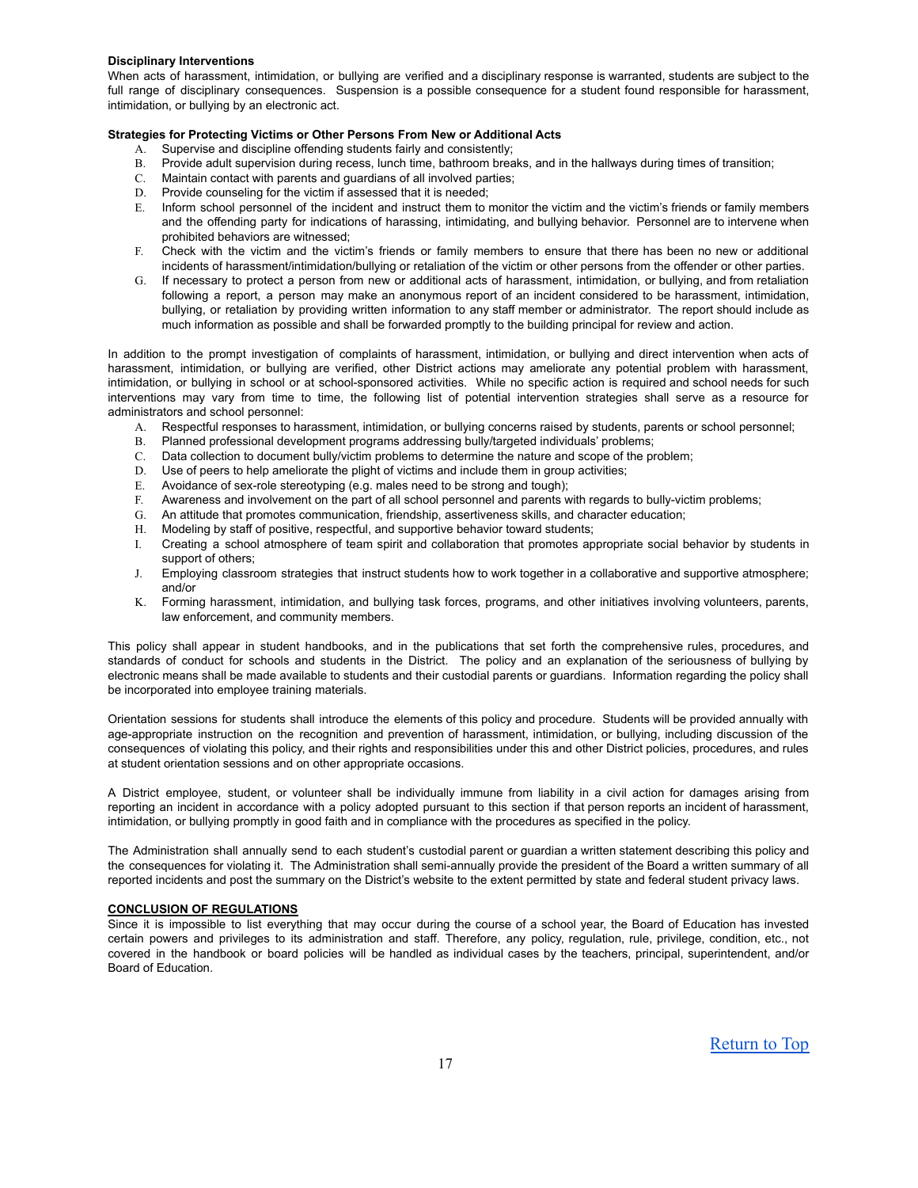#### **Disciplinary Interventions**

When acts of harassment, intimidation, or bullying are verified and a disciplinary response is warranted, students are subject to the full range of disciplinary consequences. Suspension is a possible consequence for a student found responsible for harassment, intimidation, or bullying by an electronic act.

# **Strategies for Protecting Victims or Other Persons From New or Additional Acts**

- A. Supervise and discipline offending students fairly and consistently;
- B. Provide adult supervision during recess, lunch time, bathroom breaks, and in the hallways during times of transition;
- C. Maintain contact with parents and guardians of all involved parties;
- D. Provide counseling for the victim if assessed that it is needed;
- E. Inform school personnel of the incident and instruct them to monitor the victim and the victim's friends or family members and the offending party for indications of harassing, intimidating, and bullying behavior. Personnel are to intervene when prohibited behaviors are witnessed;
- F. Check with the victim and the victim's friends or family members to ensure that there has been no new or additional incidents of harassment/intimidation/bullying or retaliation of the victim or other persons from the offender or other parties.
- G. If necessary to protect a person from new or additional acts of harassment, intimidation, or bullying, and from retaliation following a report, a person may make an anonymous report of an incident considered to be harassment, intimidation, bullying, or retaliation by providing written information to any staff member or administrator. The report should include as much information as possible and shall be forwarded promptly to the building principal for review and action.

In addition to the prompt investigation of complaints of harassment, intimidation, or bullying and direct intervention when acts of harassment, intimidation, or bullying are verified, other District actions may ameliorate any potential problem with harassment, intimidation, or bullying in school or at school-sponsored activities. While no specific action is required and school needs for such interventions may vary from time to time, the following list of potential intervention strategies shall serve as a resource for administrators and school personnel:

- A. Respectful responses to harassment, intimidation, or bullying concerns raised by students, parents or school personnel;
- B. Planned professional development programs addressing bully/targeted individuals' problems;
- C. Data collection to document bully/victim problems to determine the nature and scope of the problem;
- D. Use of peers to help ameliorate the plight of victims and include them in group activities;
- E. Avoidance of sex-role stereotyping (e.g. males need to be strong and tough);
- F. Awareness and involvement on the part of all school personnel and parents with regards to bully-victim problems;
- G. An attitude that promotes communication, friendship, assertiveness skills, and character education;
- H. Modeling by staff of positive, respectful, and supportive behavior toward students;
- I. Creating a school atmosphere of team spirit and collaboration that promotes appropriate social behavior by students in support of others:
- J. Employing classroom strategies that instruct students how to work together in a collaborative and supportive atmosphere; and/or
- K. Forming harassment, intimidation, and bullying task forces, programs, and other initiatives involving volunteers, parents, law enforcement, and community members.

This policy shall appear in student handbooks, and in the publications that set forth the comprehensive rules, procedures, and standards of conduct for schools and students in the District. The policy and an explanation of the seriousness of bullying by electronic means shall be made available to students and their custodial parents or guardians. Information regarding the policy shall be incorporated into employee training materials.

Orientation sessions for students shall introduce the elements of this policy and procedure. Students will be provided annually with age-appropriate instruction on the recognition and prevention of harassment, intimidation, or bullying, including discussion of the consequences of violating this policy, and their rights and responsibilities under this and other District policies, procedures, and rules at student orientation sessions and on other appropriate occasions.

A District employee, student, or volunteer shall be individually immune from liability in a civil action for damages arising from reporting an incident in accordance with a policy adopted pursuant to this section if that person reports an incident of harassment, intimidation, or bullying promptly in good faith and in compliance with the procedures as specified in the policy.

The Administration shall annually send to each student's custodial parent or guardian a written statement describing this policy and the consequences for violating it. The Administration shall semi-annually provide the president of the Board a written summary of all reported incidents and post the summary on the District's website to the extent permitted by state and federal student privacy laws.

# **CONCLUSION OF REGULATIONS**

Since it is impossible to list everything that may occur during the course of a school year, the Board of Education has invested certain powers and privileges to its administration and staff. Therefore, any policy, regulation, rule, privilege, condition, etc., not covered in the handbook or board policies will be handled as individual cases by the teachers, principal, superintendent, and/or Board of Education.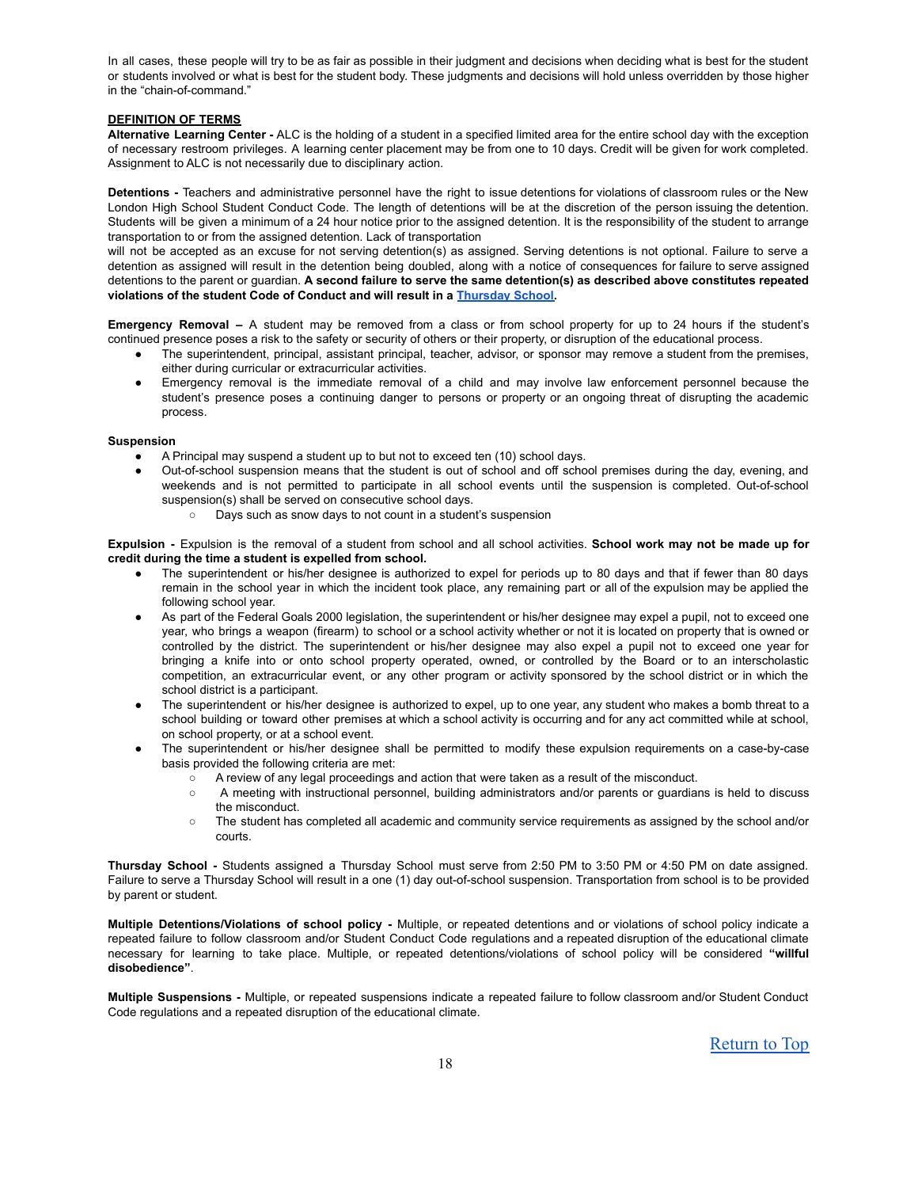In all cases, these people will try to be as fair as possible in their judgment and decisions when deciding what is best for the student or students involved or what is best for the student body. These judgments and decisions will hold unless overridden by those higher in the "chain-of-command."

# **DEFINITION OF TERMS**

**Alternative Learning Center -** ALC is the holding of a student in a specified limited area for the entire school day with the exception of necessary restroom privileges. A learning center placement may be from one to 10 days. Credit will be given for work completed. Assignment to ALC is not necessarily due to disciplinary action.

**Detentions -** Teachers and administrative personnel have the right to issue detentions for violations of classroom rules or the New London High School Student Conduct Code. The length of detentions will be at the discretion of the person issuing the detention. Students will be given a minimum of a 24 hour notice prior to the assigned detention. It is the responsibility of the student to arrange transportation to or from the assigned detention. Lack of transportation

will not be accepted as an excuse for not serving detention(s) as assigned. Serving detentions is not optional. Failure to serve a detention as assigned will result in the detention being doubled, along with a notice of consequences for failure to serve assigned detentions to the parent or guardian. **A second failure to serve the same detention(s) as described above constitutes repeated violations of the student Code of Conduct and will result in a [Thursday](#page-17-0) School.**

**Emergency Removal –** A student may be removed from a class or from school property for up to 24 hours if the student's continued presence poses a risk to the safety or security of others or their property, or disruption of the educational process.

- The superintendent, principal, assistant principal, teacher, advisor, or sponsor may remove a student from the premises, either during curricular or extracurricular activities.
- Emergency removal is the immediate removal of a child and may involve law enforcement personnel because the student's presence poses a continuing danger to persons or property or an ongoing threat of disrupting the academic process.

### **Suspension**

- A Principal may suspend a student up to but not to exceed ten (10) school days.
- Out-of-school suspension means that the student is out of school and off school premises during the day, evening, and weekends and is not permitted to participate in all school events until the suspension is completed. Out-of-school suspension(s) shall be served on consecutive school days.
	- Days such as snow days to not count in a student's suspension

**Expulsion -** Expulsion is the removal of a student from school and all school activities. **School work may not be made up for credit during the time a student is expelled from school.**

- The superintendent or his/her designee is authorized to expel for periods up to 80 days and that if fewer than 80 days remain in the school year in which the incident took place, any remaining part or all of the expulsion may be applied the following school year.
- As part of the Federal Goals 2000 legislation, the superintendent or his/her designee may expel a pupil, not to exceed one year, who brings a weapon (firearm) to school or a school activity whether or not it is located on property that is owned or controlled by the district. The superintendent or his/her designee may also expel a pupil not to exceed one year for bringing a knife into or onto school property operated, owned, or controlled by the Board or to an interscholastic competition, an extracurricular event, or any other program or activity sponsored by the school district or in which the school district is a participant.
- The superintendent or his/her designee is authorized to expel, up to one year, any student who makes a bomb threat to a school building or toward other premises at which a school activity is occurring and for any act committed while at school, on school property, or at a school event.
- The superintendent or his/her designee shall be permitted to modify these expulsion requirements on a case-by-case basis provided the following criteria are met:
	- A review of any legal proceedings and action that were taken as a result of the misconduct.
	- A meeting with instructional personnel, building administrators and/or parents or guardians is held to discuss the misconduct.
	- The student has completed all academic and community service requirements as assigned by the school and/or courts.

<span id="page-17-0"></span>**Thursday School -** Students assigned a Thursday School must serve from 2:50 PM to 3:50 PM or 4:50 PM on date assigned. Failure to serve a Thursday School will result in a one (1) day out-of-school suspension. Transportation from school is to be provided by parent or student.

**Multiple Detentions/Violations of school policy -** Multiple, or repeated detentions and or violations of school policy indicate a repeated failure to follow classroom and/or Student Conduct Code regulations and a repeated disruption of the educational climate necessary for learning to take place. Multiple, or repeated detentions/violations of school policy will be considered **"willful disobedience"**.

**Multiple Suspensions -** Multiple, or repeated suspensions indicate a repeated failure to follow classroom and/or Student Conduct Code regulations and a repeated disruption of the educational climate.